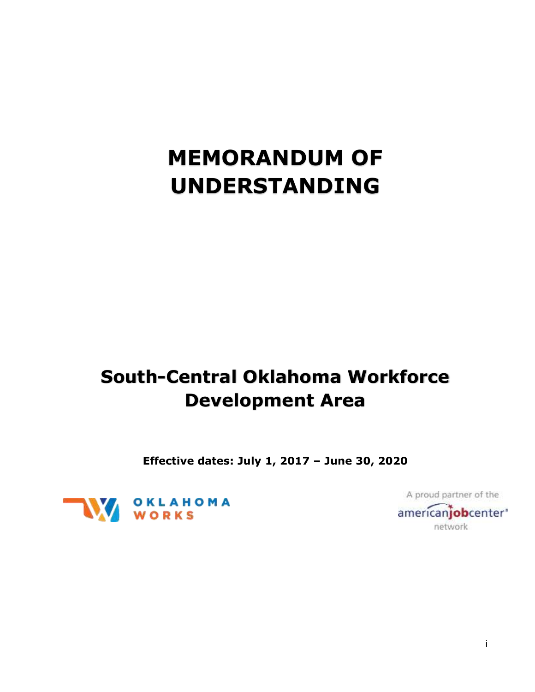# **MEMORANDUM OF UNDERSTANDING**

# **South-Central Oklahoma Workforce Development Area**

**Effective dates: July 1, 2017 – June 30, 2020**



A proud partner of the americanjobcenter' network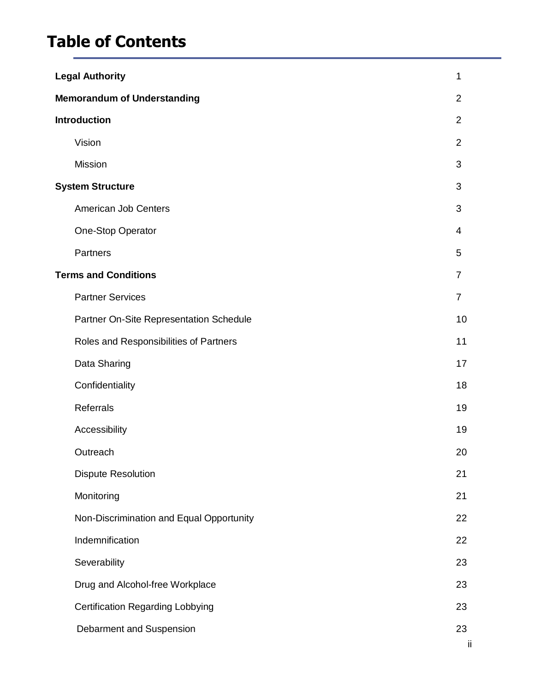# **Table of Contents**

| <b>Legal Authority</b>                   | 1              |
|------------------------------------------|----------------|
| <b>Memorandum of Understanding</b>       | $\overline{2}$ |
| <b>Introduction</b>                      | $\overline{2}$ |
| Vision                                   | $\overline{2}$ |
| <b>Mission</b>                           | 3              |
| <b>System Structure</b>                  | 3              |
| American Job Centers                     | 3              |
| One-Stop Operator                        | 4              |
| Partners                                 | 5              |
| <b>Terms and Conditions</b>              | $\overline{7}$ |
| <b>Partner Services</b>                  | $\overline{7}$ |
| Partner On-Site Representation Schedule  | 10             |
| Roles and Responsibilities of Partners   | 11             |
| Data Sharing                             | 17             |
| Confidentiality                          | 18             |
| <b>Referrals</b>                         | 19             |
| Accessibility                            | 19             |
| Outreach                                 | 20             |
| <b>Dispute Resolution</b>                | 21             |
| Monitoring                               | 21             |
| Non-Discrimination and Equal Opportunity | 22             |
| Indemnification                          | 22             |
| Severability                             | 23             |
| Drug and Alcohol-free Workplace          | 23             |
| <b>Certification Regarding Lobbying</b>  | 23             |
| Debarment and Suspension                 | 23             |
|                                          | Ϊİ.            |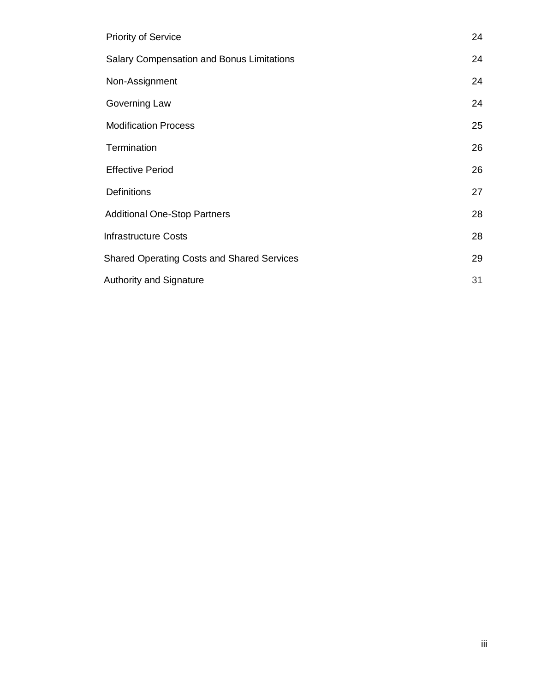| <b>Priority of Service</b>                        | 24 |
|---------------------------------------------------|----|
| <b>Salary Compensation and Bonus Limitations</b>  | 24 |
| Non-Assignment                                    | 24 |
| Governing Law                                     | 24 |
| <b>Modification Process</b>                       | 25 |
| Termination                                       | 26 |
| <b>Effective Period</b>                           | 26 |
| <b>Definitions</b>                                | 27 |
| <b>Additional One-Stop Partners</b>               | 28 |
| <b>Infrastructure Costs</b>                       | 28 |
| <b>Shared Operating Costs and Shared Services</b> | 29 |
| <b>Authority and Signature</b>                    | 31 |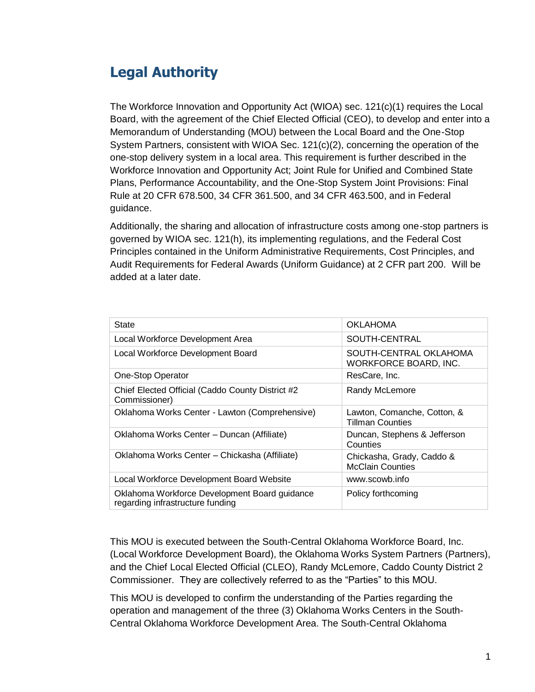### <span id="page-4-0"></span>**Legal Authority**

The Workforce Innovation and Opportunity Act (WIOA) sec. 121(c)(1) requires the Local Board, with the agreement of the Chief Elected Official (CEO), to develop and enter into a Memorandum of Understanding (MOU) between the Local Board and the One-Stop System Partners, consistent with WIOA Sec. 121(c)(2), concerning the operation of the one-stop delivery system in a local area. This requirement is further described in the Workforce Innovation and Opportunity Act; Joint Rule for Unified and Combined State Plans, Performance Accountability, and the One-Stop System Joint Provisions: Final Rule at 20 CFR 678.500, 34 CFR 361.500, and 34 CFR 463.500, and in Federal guidance.

Additionally, the sharing and allocation of infrastructure costs among one-stop partners is governed by WIOA sec. 121(h), its implementing regulations, and the Federal Cost Principles contained in the Uniform Administrative Requirements, Cost Principles, and Audit Requirements for Federal Awards (Uniform Guidance) at 2 CFR part 200. Will be added at a later date.

| State                                                                             | <b>OKLAHOMA</b>                                        |
|-----------------------------------------------------------------------------------|--------------------------------------------------------|
| Local Workforce Development Area                                                  | SOUTH-CENTRAL                                          |
| Local Workforce Development Board                                                 | SOUTH-CENTRAL OKLAHOMA<br><b>WORKFORCE BOARD, INC.</b> |
| One-Stop Operator                                                                 | ResCare, Inc.                                          |
| Chief Elected Official (Caddo County District #2<br>Commissioner)                 | Randy McLemore                                         |
| Oklahoma Works Center - Lawton (Comprehensive)                                    | Lawton, Comanche, Cotton, &<br><b>Tillman Counties</b> |
| Oklahoma Works Center – Duncan (Affiliate)                                        | Duncan, Stephens & Jefferson<br>Counties               |
| Oklahoma Works Center - Chickasha (Affiliate)                                     | Chickasha, Grady, Caddo &<br><b>McClain Counties</b>   |
| Local Workforce Development Board Website                                         | www.scowb.info                                         |
| Oklahoma Workforce Development Board guidance<br>regarding infrastructure funding | Policy forthcoming                                     |

<span id="page-4-1"></span>This MOU is executed between the South-Central Oklahoma Workforce Board, Inc. (Local Workforce Development Board), the Oklahoma Works System Partners (Partners), and the Chief Local Elected Official (CLEO), Randy McLemore, Caddo County District 2 Commissioner. They are collectively referred to as the "Parties" to this MOU.

This MOU is developed to confirm the understanding of the Parties regarding the operation and management of the three (3) Oklahoma Works Centers in the South-Central Oklahoma Workforce Development Area. The South-Central Oklahoma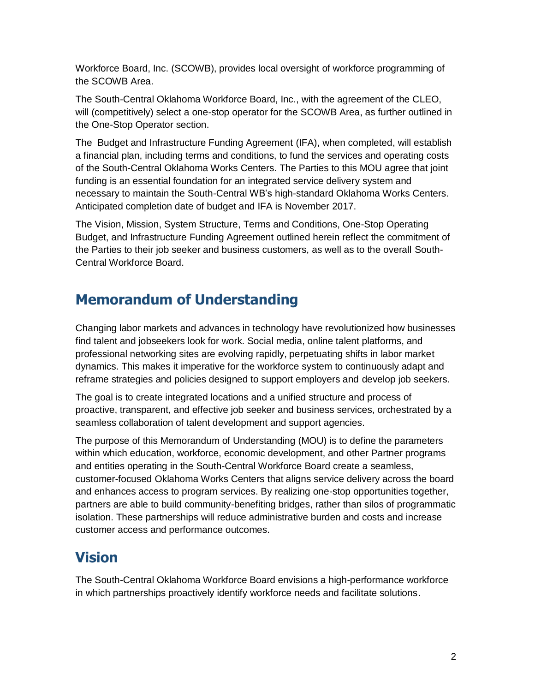Workforce Board, Inc. (SCOWB), provides local oversight of workforce programming of the SCOWB Area.

The South-Central Oklahoma Workforce Board, Inc., with the agreement of the CLEO, will (competitively) select a one-stop operator for the SCOWB Area, as further outlined in the [One-Stop Operator s](#page-7-1)ection.

The Budget and Infrastructure Funding Agreement (IFA), when completed, will establish a financial plan, including terms and conditions, to fund the services and operating costs of the South-Central Oklahoma Works Centers. The Parties to this MOU agree that joint funding is an essential foundation for an integrated service delivery system and necessary to maintain the South-Central WB's high-standard Oklahoma Works Centers. Anticipated completion date of budget and IFA is November 2017.

The [Vision,](#page-5-1) Mission, [System Structure,](#page-7-0) [Terms and Conditions, O](#page-8-0)ne-Stop Operating Budget, and Infrastructure Funding Agreement outlined herein reflect the commitment of the Parties to their job seeker and business customers, as well as to the overall South-Central Workforce Board.

### **Memorandum of Understanding**

<span id="page-5-0"></span>Changing labor markets and advances in technology have revolutionized how businesses find talent and jobseekers look for work. Social media, online talent platforms, and professional networking sites are evolving rapidly, perpetuating shifts in labor market dynamics. This makes it imperative for the workforce system to continuously adapt and reframe strategies and policies designed to support employers and develop job seekers.

The goal is to create integrated locations and a unified structure and process of proactive, transparent, and effective job seeker and business services, orchestrated by a seamless collaboration of talent development and support agencies.

The purpose of this Memorandum of Understanding (MOU) is to define the parameters within which education, workforce, economic development, and other Partner programs and entities operating in the South-Central Workforce Board create a seamless, customer-focused Oklahoma Works Centers that aligns service delivery across the board and enhances access to program services. By realizing one-stop opportunities together, partners are able to build community-benefiting bridges, rather than silos of programmatic isolation. These partnerships will reduce administrative burden and costs and increase customer access and performance outcomes.

### **Vision**

<span id="page-5-1"></span>The South-Central Oklahoma Workforce Board envisions a high-performance workforce in which partnerships proactively identify workforce needs and facilitate solutions.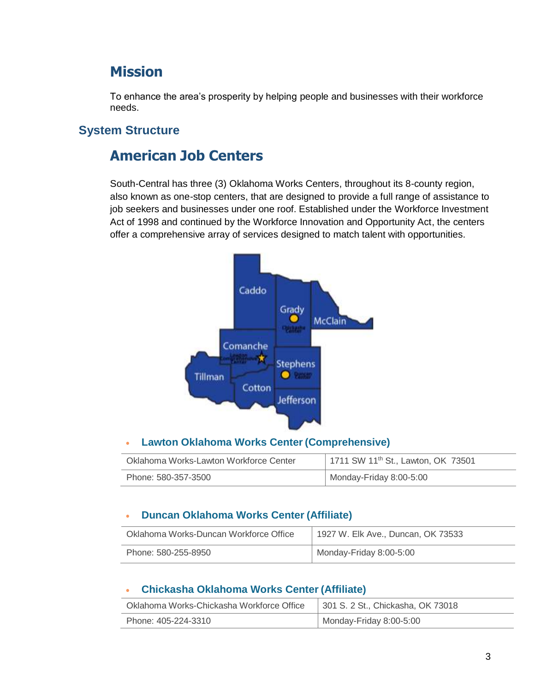### **Mission**

To enhance the area's prosperity by helping people and businesses with their workforce needs.

#### **System Structure**

### **American Job Centers**

South-Central has three (3) [Oklahoma Works Centers,](http://www.careeronestop.org/site/american-job-center.aspx) throughout its 8-county region, also known as one-stop centers, that are designed to provide a full range of assistance to job seekers and businesses under one roof. Established under the [Workforce Investment](http://www.doleta.gov/programs/factsht/wialaw.cfm)  [Act o](http://www.doleta.gov/programs/factsht/wialaw.cfm)f 1998 and continued by the [Workforce Innovation and Opportunity Act,](https://www.doleta.gov/wioa/) the centers offer a comprehensive array of services designed to match talent with opportunities.



#### • **Lawton Oklahoma Works Center(Comprehensive)**

| Oklahoma Works-Lawton Workforce Center | 1711 SW 11 <sup>th</sup> St., Lawton, OK 73501 |
|----------------------------------------|------------------------------------------------|
| Phone: 580-357-3500                    | Monday-Friday 8:00-5:00                        |

#### • **Duncan Oklahoma Works Center (Affiliate)**

| Oklahoma Works-Duncan Workforce Office | 1927 W. Elk Ave., Duncan, OK 73533 |
|----------------------------------------|------------------------------------|
| Phone: 580-255-8950                    | Monday-Friday 8:00-5:00            |

#### • **Chickasha Oklahoma Works Center (Affiliate)**

| Oklahoma Works-Chickasha Workforce Office | 301 S. 2 St., Chickasha, OK 73018 |
|-------------------------------------------|-----------------------------------|
| Phone: 405-224-3310                       | Monday-Friday 8:00-5:00           |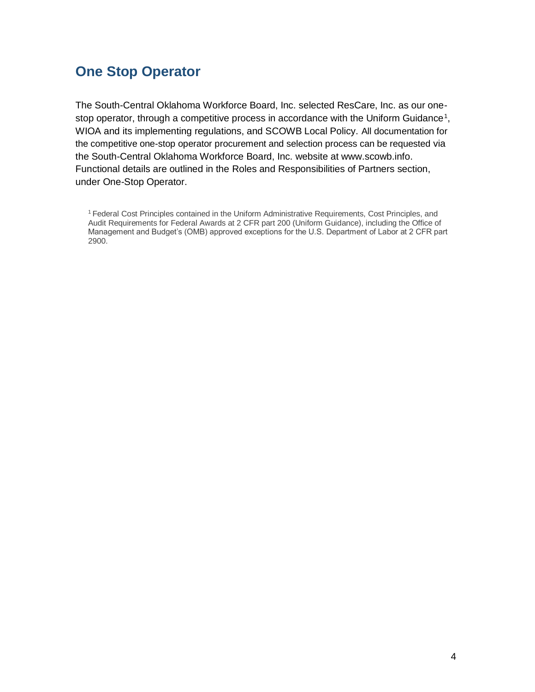### <span id="page-7-0"></span>**One Stop Operator**

The South-Central Oklahoma Workforce Board, Inc. selected ResCare, Inc. as our one-stop operator, through a competitive process in accordance with the Uniform Guidance<sup>[1](#page-7-1)</sup>, WIOA and its implementing regulations, and SCOWB Local Policy. All documentation for the competitive one-stop operator procurement and selection process can be requested via the South-Central Oklahoma Workforce Board, Inc. website at www.scowb.info. Functional details are outlined in the [Roles and Responsibilities of Partners s](#page-14-0)ection, under [One-Stop Operator.](#page-17-0)

<span id="page-7-1"></span><sup>1</sup>Federal Cost Principles contained in the Uniform Administrative Requirements, Cost Principles, and Audit Requirements for Federal Awards at 2 CFR part 200 (Uniform Guidance), including the Office of Management and Budget's (OMB) approved exceptions for the U.S. Department of Labor at 2 CFR part 2900.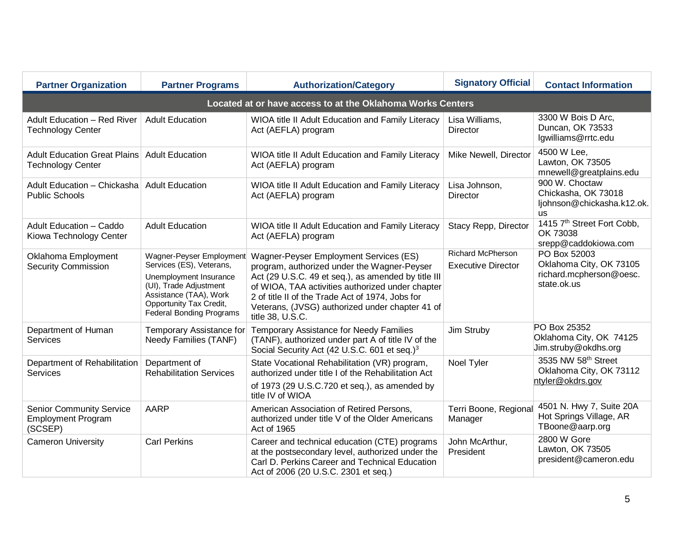<span id="page-8-1"></span><span id="page-8-0"></span>

| <b>Partner Organization</b>                                             | <b>Partner Programs</b>                                                                                                                                                                          | <b>Authorization/Category</b>                                                                                                                                                                                                                                                                                               | <b>Signatory Official</b>                             | <b>Contact Information</b>                                                        |  |  |
|-------------------------------------------------------------------------|--------------------------------------------------------------------------------------------------------------------------------------------------------------------------------------------------|-----------------------------------------------------------------------------------------------------------------------------------------------------------------------------------------------------------------------------------------------------------------------------------------------------------------------------|-------------------------------------------------------|-----------------------------------------------------------------------------------|--|--|
| Located at or have access to at the Oklahoma Works Centers              |                                                                                                                                                                                                  |                                                                                                                                                                                                                                                                                                                             |                                                       |                                                                                   |  |  |
| <b>Adult Education - Red River</b><br><b>Technology Center</b>          | <b>Adult Education</b>                                                                                                                                                                           | WIOA title II Adult Education and Family Literacy<br>Act (AEFLA) program                                                                                                                                                                                                                                                    | Lisa Williams,<br>Director                            | 3300 W Bois D Arc,<br>Duncan, OK 73533<br>lgwilliams@rrtc.edu                     |  |  |
| <b>Adult Education Great Plains</b><br><b>Technology Center</b>         | <b>Adult Education</b>                                                                                                                                                                           | WIOA title II Adult Education and Family Literacy<br>Act (AEFLA) program                                                                                                                                                                                                                                                    | Mike Newell, Director                                 | 4500 W Lee,<br>Lawton, OK 73505<br>mnewell@greatplains.edu                        |  |  |
| Adult Education - Chickasha<br><b>Public Schools</b>                    | <b>Adult Education</b>                                                                                                                                                                           | WIOA title II Adult Education and Family Literacy<br>Act (AEFLA) program                                                                                                                                                                                                                                                    | Lisa Johnson,<br><b>Director</b>                      | 900 W. Choctaw<br>Chickasha, OK 73018<br>ljohnson@chickasha.k12.ok.<br><b>us</b>  |  |  |
| Adult Education - Caddo<br>Kiowa Technology Center                      | <b>Adult Education</b>                                                                                                                                                                           | WIOA title II Adult Education and Family Literacy<br>Act (AEFLA) program                                                                                                                                                                                                                                                    | Stacy Repp, Director                                  | 1415 7th Street Fort Cobb,<br>OK 73038<br>srepp@caddokiowa.com                    |  |  |
| Oklahoma Employment<br><b>Security Commission</b>                       | Wagner-Peyser Employment<br>Services (ES), Veterans,<br>Unemployment Insurance<br>(UI), Trade Adjustment<br>Assistance (TAA), Work<br>Opportunity Tax Credit,<br><b>Federal Bonding Programs</b> | Wagner-Peyser Employment Services (ES)<br>program, authorized under the Wagner-Peyser<br>Act (29 U.S.C. 49 et seq.), as amended by title III<br>of WIOA, TAA activities authorized under chapter<br>2 of title II of the Trade Act of 1974, Jobs for<br>Veterans, (JVSG) authorized under chapter 41 of<br>title 38, U.S.C. | <b>Richard McPherson</b><br><b>Executive Director</b> | PO Box 52003<br>Oklahoma City, OK 73105<br>richard.mcpherson@oesc.<br>state.ok.us |  |  |
| Department of Human<br><b>Services</b>                                  | Temporary Assistance for<br>Needy Families (TANF)                                                                                                                                                | <b>Temporary Assistance for Needy Families</b><br>(TANF), authorized under part A of title IV of the<br>Social Security Act (42 U.S.C. 601 et seq.) <sup>3</sup>                                                                                                                                                            | Jim Struby                                            | PO Box 25352<br>Oklahoma City, OK 74125<br>Jim.struby@okdhs.org                   |  |  |
| Department of Rehabilitation<br>Services                                | Department of<br><b>Rehabilitation Services</b>                                                                                                                                                  | State Vocational Rehabilitation (VR) program,<br>authorized under title I of the Rehabilitation Act<br>of 1973 (29 U.S.C.720 et seq.), as amended by<br>title IV of WIOA                                                                                                                                                    | Noel Tyler                                            | 3535 NW 58th Street<br>Oklahoma City, OK 73112<br>ntyler@okdrs.gov                |  |  |
| <b>Senior Community Service</b><br><b>Employment Program</b><br>(SCSEP) | <b>AARP</b>                                                                                                                                                                                      | American Association of Retired Persons,<br>authorized under title V of the Older Americans<br>Act of 1965                                                                                                                                                                                                                  | Terri Boone, Regional<br>Manager                      | 4501 N. Hwy 7, Suite 20A<br>Hot Springs Village, AR<br>TBoone@aarp.org            |  |  |
| <b>Cameron University</b>                                               | <b>Carl Perkins</b>                                                                                                                                                                              | Career and technical education (CTE) programs<br>at the postsecondary level, authorized under the<br>Carl D. Perkins Career and Technical Education<br>Act of 2006 (20 U.S.C. 2301 et seq.)                                                                                                                                 | John McArthur,<br>President                           | 2800 W Gore<br>Lawton, OK 73505<br>president@cameron.edu                          |  |  |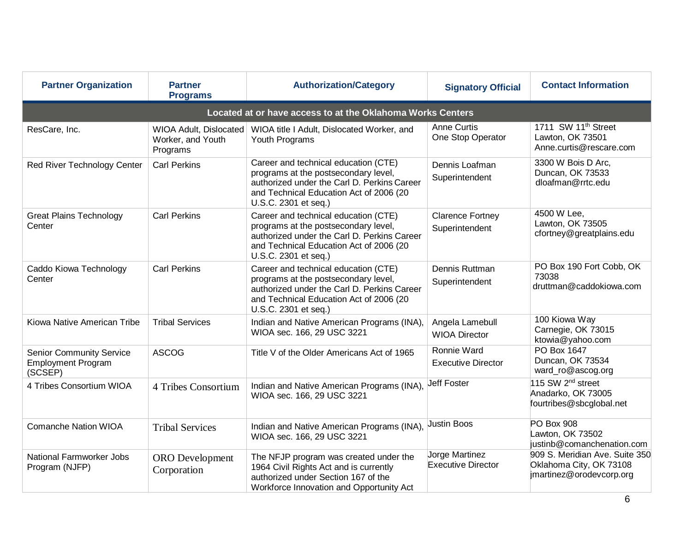| <b>Partner Organization</b>                                             | <b>Partner</b><br><b>Programs</b>                              | <b>Authorization/Category</b>                                                                                                                                                                  |                                             | <b>Contact Information</b><br><b>Signatory Official</b>                               |  |  |
|-------------------------------------------------------------------------|----------------------------------------------------------------|------------------------------------------------------------------------------------------------------------------------------------------------------------------------------------------------|---------------------------------------------|---------------------------------------------------------------------------------------|--|--|
| Located at or have access to at the Oklahoma Works Centers              |                                                                |                                                                                                                                                                                                |                                             |                                                                                       |  |  |
| ResCare, Inc.                                                           | <b>WIOA Adult, Dislocated</b><br>Worker, and Youth<br>Programs | WIOA title I Adult, Dislocated Worker, and<br>Youth Programs                                                                                                                                   | <b>Anne Curtis</b><br>One Stop Operator     | 1711 SW 11 <sup>th</sup> Street<br>Lawton, OK 73501<br>Anne.curtis@rescare.com        |  |  |
| Red River Technology Center                                             | <b>Carl Perkins</b>                                            | Career and technical education (CTE)<br>programs at the postsecondary level,<br>authorized under the Carl D. Perkins Career<br>and Technical Education Act of 2006 (20<br>U.S.C. 2301 et seq.) | Dennis Loafman<br>Superintendent            | 3300 W Bois D Arc,<br>Duncan, OK 73533<br>dloafman@rrtc.edu                           |  |  |
| <b>Great Plains Technology</b><br>Center                                | <b>Carl Perkins</b>                                            | Career and technical education (CTE)<br>programs at the postsecondary level,<br>authorized under the Carl D. Perkins Career<br>and Technical Education Act of 2006 (20<br>U.S.C. 2301 et seq.) | <b>Clarence Fortney</b><br>Superintendent   | 4500 W Lee,<br>Lawton, OK 73505<br>cfortney@greatplains.edu                           |  |  |
| Caddo Kiowa Technology<br>Center                                        | <b>Carl Perkins</b>                                            | Career and technical education (CTE)<br>programs at the postsecondary level,<br>authorized under the Carl D. Perkins Career<br>and Technical Education Act of 2006 (20<br>U.S.C. 2301 et seq.) | Dennis Ruttman<br>Superintendent            | PO Box 190 Fort Cobb, OK<br>73038<br>druttman@caddokiowa.com                          |  |  |
| Kiowa Native American Tribe                                             | <b>Tribal Services</b>                                         | Indian and Native American Programs (INA),<br>WIOA sec. 166, 29 USC 3221                                                                                                                       | Angela Lamebull<br><b>WIOA Director</b>     | 100 Kiowa Way<br>Carnegie, OK 73015<br>ktowia@yahoo.com                               |  |  |
| <b>Senior Community Service</b><br><b>Employment Program</b><br>(SCSEP) | <b>ASCOG</b>                                                   | Title V of the Older Americans Act of 1965                                                                                                                                                     | Ronnie Ward<br><b>Executive Director</b>    | PO Box 1647<br>Duncan, OK 73534<br>ward_ro@ascog.org                                  |  |  |
| 4 Tribes Consortium WIOA                                                | 4 Tribes Consortium                                            | Indian and Native American Programs (INA),<br>WIOA sec. 166, 29 USC 3221                                                                                                                       | Jeff Foster                                 | 115 SW 2 <sup>nd</sup> street<br>Anadarko, OK 73005<br>fourtribes@sbcglobal.net       |  |  |
| <b>Comanche Nation WIOA</b>                                             | <b>Tribal Services</b>                                         | Indian and Native American Programs (INA),<br>WIOA sec. 166, 29 USC 3221                                                                                                                       | Justin Boos                                 | PO Box 908<br>Lawton, OK 73502<br>justinb@comanchenation.com                          |  |  |
| National Farmworker Jobs<br>Program (NJFP)                              | ORO Development<br>Corporation                                 | The NFJP program was created under the<br>1964 Civil Rights Act and is currently<br>authorized under Section 167 of the<br>Workforce Innovation and Opportunity Act                            | Jorge Martinez<br><b>Executive Director</b> | 909 S. Meridian Ave. Suite 350<br>Oklahoma City, OK 73108<br>jmartinez@orodevcorp.org |  |  |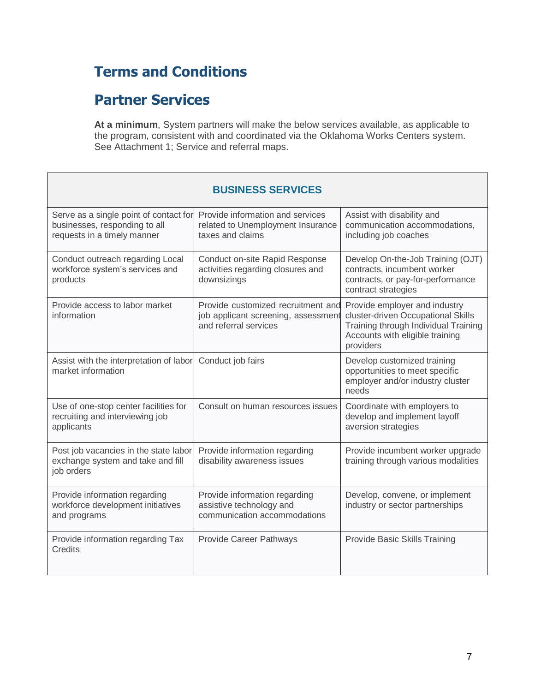# **Terms and Conditions**

### **Partner Services**

**At a minimum**, System partners will make the below services available, as applicable to the program, consistent with and coordinated via the Oklahoma Works Centers system. See Attachment 1; Service and referral maps.

| <b>BUSINESS SERVICES</b>                                                                               |                                                                                                    |                                                                                                                                                             |  |  |
|--------------------------------------------------------------------------------------------------------|----------------------------------------------------------------------------------------------------|-------------------------------------------------------------------------------------------------------------------------------------------------------------|--|--|
| Serve as a single point of contact for<br>businesses, responding to all<br>requests in a timely manner | Provide information and services<br>related to Unemployment Insurance<br>taxes and claims          | Assist with disability and<br>communication accommodations,<br>including job coaches                                                                        |  |  |
| Conduct outreach regarding Local<br>workforce system's services and<br>products                        | Conduct on-site Rapid Response<br>activities regarding closures and<br>downsizings                 | Develop On-the-Job Training (OJT)<br>contracts, incumbent worker<br>contracts, or pay-for-performance<br>contract strategies                                |  |  |
| Provide access to labor market<br>information                                                          | Provide customized recruitment and<br>job applicant screening, assessment<br>and referral services | Provide employer and industry<br>cluster-driven Occupational Skills<br>Training through Individual Training<br>Accounts with eligible training<br>providers |  |  |
| Assist with the interpretation of labor<br>market information                                          | Conduct job fairs                                                                                  | Develop customized training<br>opportunities to meet specific<br>employer and/or industry cluster<br>needs                                                  |  |  |
| Use of one-stop center facilities for<br>recruiting and interviewing job<br>applicants                 | Consult on human resources issues                                                                  | Coordinate with employers to<br>develop and implement layoff<br>aversion strategies                                                                         |  |  |
| Post job vacancies in the state labor<br>exchange system and take and fill<br>job orders               | Provide information regarding<br>disability awareness issues                                       | Provide incumbent worker upgrade<br>training through various modalities                                                                                     |  |  |
| Provide information regarding<br>workforce development initiatives<br>and programs                     | Provide information regarding<br>assistive technology and<br>communication accommodations          | Develop, convene, or implement<br>industry or sector partnerships                                                                                           |  |  |
| Provide information regarding Tax<br>Credits                                                           | Provide Career Pathways                                                                            | Provide Basic Skills Training                                                                                                                               |  |  |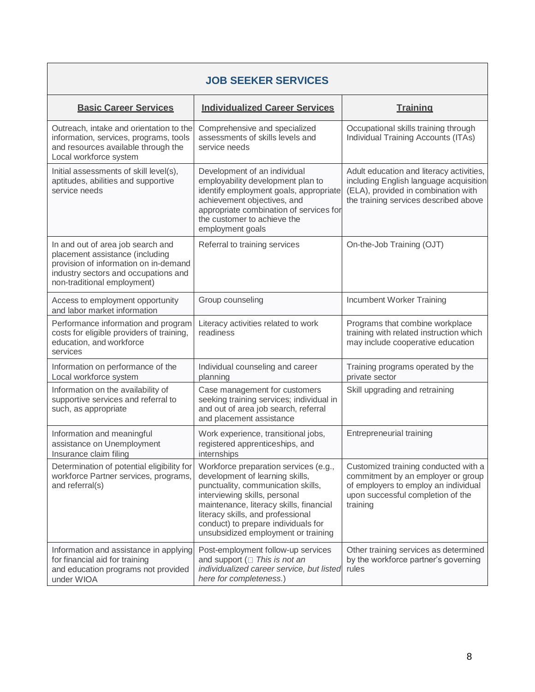| <b>JOB SEEKER SERVICES</b>                                                                                                                                                           |                                                                                                                                                                                                                                                                                                               |                                                                                                                                                                     |  |  |
|--------------------------------------------------------------------------------------------------------------------------------------------------------------------------------------|---------------------------------------------------------------------------------------------------------------------------------------------------------------------------------------------------------------------------------------------------------------------------------------------------------------|---------------------------------------------------------------------------------------------------------------------------------------------------------------------|--|--|
| <b>Basic Career Services</b>                                                                                                                                                         | <b>Individualized Career Services</b>                                                                                                                                                                                                                                                                         | <b>Training</b>                                                                                                                                                     |  |  |
| Outreach, intake and orientation to the<br>information, services, programs, tools<br>and resources available through the<br>Local workforce system                                   | Comprehensive and specialized<br>assessments of skills levels and<br>service needs                                                                                                                                                                                                                            | Occupational skills training through<br>Individual Training Accounts (ITAs)                                                                                         |  |  |
| Initial assessments of skill level(s),<br>aptitudes, abilities and supportive<br>service needs                                                                                       | Development of an individual<br>employability development plan to<br>identify employment goals, appropriate<br>achievement objectives, and<br>appropriate combination of services for<br>the customer to achieve the<br>employment goals                                                                      | Adult education and literacy activities,<br>including English language acquisition<br>(ELA), provided in combination with<br>the training services described above  |  |  |
| In and out of area job search and<br>placement assistance (including<br>provision of information on in-demand<br>industry sectors and occupations and<br>non-traditional employment) | Referral to training services                                                                                                                                                                                                                                                                                 | On-the-Job Training (OJT)                                                                                                                                           |  |  |
| Access to employment opportunity<br>and labor market information                                                                                                                     | Group counseling                                                                                                                                                                                                                                                                                              | Incumbent Worker Training                                                                                                                                           |  |  |
| Performance information and program<br>costs for eligible providers of training,<br>education, and workforce<br>services                                                             | Literacy activities related to work<br>readiness                                                                                                                                                                                                                                                              | Programs that combine workplace<br>training with related instruction which<br>may include cooperative education                                                     |  |  |
| Information on performance of the<br>Local workforce system                                                                                                                          | Individual counseling and career<br>planning                                                                                                                                                                                                                                                                  | Training programs operated by the<br>private sector                                                                                                                 |  |  |
| Information on the availability of<br>supportive services and referral to<br>such, as appropriate                                                                                    | Case management for customers<br>seeking training services; individual in<br>and out of area job search, referral<br>and placement assistance                                                                                                                                                                 | Skill upgrading and retraining                                                                                                                                      |  |  |
| Information and meaningful<br>assistance on Unemployment<br>Insurance claim filing                                                                                                   | Work experience, transitional jobs,<br>registered apprenticeships, and<br>internships                                                                                                                                                                                                                         | <b>Entrepreneurial training</b>                                                                                                                                     |  |  |
| Determination of potential eligibility for<br>workforce Partner services, programs,<br>and referral(s)                                                                               | Workforce preparation services (e.g.,<br>development of learning skills,<br>punctuality, communication skills,<br>interviewing skills, personal<br>maintenance, literacy skills, financial<br>literacy skills, and professional<br>conduct) to prepare individuals for<br>unsubsidized employment or training | Customized training conducted with a<br>commitment by an employer or group<br>of employers to employ an individual<br>upon successful completion of the<br>training |  |  |
| Information and assistance in applying<br>for financial aid for training<br>and education programs not provided<br>under WIOA                                                        | Post-employment follow-up services<br>and support ( $\Box$ This is not an<br>individualized career service, but listed<br>here for completeness.)                                                                                                                                                             | Other training services as determined<br>by the workforce partner's governing<br>rules                                                                              |  |  |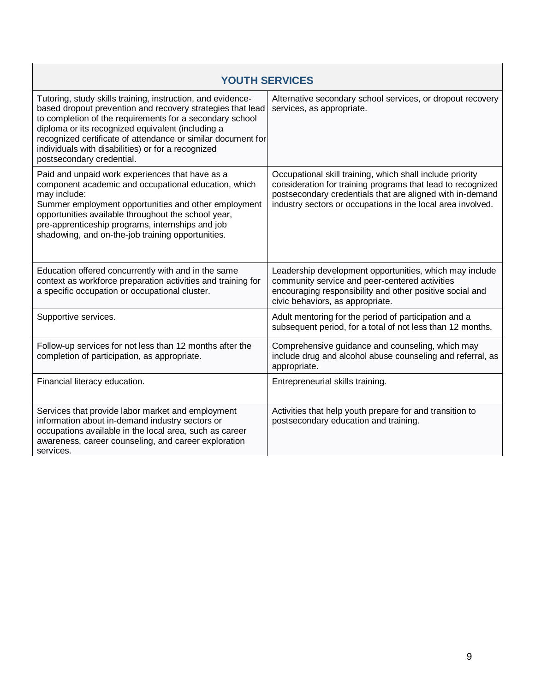<span id="page-12-0"></span>

| <b>YOUTH SERVICES</b>                                                                                                                                                                                                                                                                                                                                                                         |                                                                                                                                                                                                                                                      |  |  |  |
|-----------------------------------------------------------------------------------------------------------------------------------------------------------------------------------------------------------------------------------------------------------------------------------------------------------------------------------------------------------------------------------------------|------------------------------------------------------------------------------------------------------------------------------------------------------------------------------------------------------------------------------------------------------|--|--|--|
| Tutoring, study skills training, instruction, and evidence-<br>based dropout prevention and recovery strategies that lead<br>to completion of the requirements for a secondary school<br>diploma or its recognized equivalent (including a<br>recognized certificate of attendance or similar document for<br>individuals with disabilities) or for a recognized<br>postsecondary credential. | Alternative secondary school services, or dropout recovery<br>services, as appropriate.                                                                                                                                                              |  |  |  |
| Paid and unpaid work experiences that have as a<br>component academic and occupational education, which<br>may include:<br>Summer employment opportunities and other employment<br>opportunities available throughout the school year,<br>pre-apprenticeship programs, internships and job<br>shadowing, and on-the-job training opportunities.                                               | Occupational skill training, which shall include priority<br>consideration for training programs that lead to recognized<br>postsecondary credentials that are aligned with in-demand<br>industry sectors or occupations in the local area involved. |  |  |  |
| Education offered concurrently with and in the same<br>context as workforce preparation activities and training for<br>a specific occupation or occupational cluster.                                                                                                                                                                                                                         | Leadership development opportunities, which may include<br>community service and peer-centered activities<br>encouraging responsibility and other positive social and<br>civic behaviors, as appropriate.                                            |  |  |  |
| Supportive services.                                                                                                                                                                                                                                                                                                                                                                          | Adult mentoring for the period of participation and a<br>subsequent period, for a total of not less than 12 months.                                                                                                                                  |  |  |  |
| Follow-up services for not less than 12 months after the<br>completion of participation, as appropriate.                                                                                                                                                                                                                                                                                      | Comprehensive guidance and counseling, which may<br>include drug and alcohol abuse counseling and referral, as<br>appropriate.                                                                                                                       |  |  |  |
| Financial literacy education.                                                                                                                                                                                                                                                                                                                                                                 | Entrepreneurial skills training.                                                                                                                                                                                                                     |  |  |  |
| Services that provide labor market and employment<br>information about in-demand industry sectors or<br>occupations available in the local area, such as career<br>awareness, career counseling, and career exploration<br>services.                                                                                                                                                          | Activities that help youth prepare for and transition to<br>postsecondary education and training.                                                                                                                                                    |  |  |  |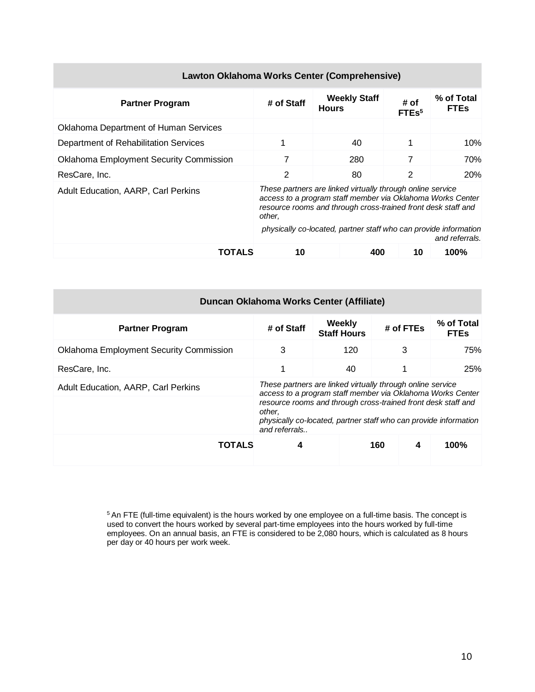| Lawton Oklahoma Works Center (Comprehensive)   |                                                                                                                                                                                                                                                                         |                                     |                           |                           |
|------------------------------------------------|-------------------------------------------------------------------------------------------------------------------------------------------------------------------------------------------------------------------------------------------------------------------------|-------------------------------------|---------------------------|---------------------------|
| <b>Partner Program</b>                         | # of Staff                                                                                                                                                                                                                                                              | <b>Weekly Staff</b><br><b>Hours</b> | # of<br>FTEs <sup>5</sup> | % of Total<br><b>FTEs</b> |
| Oklahoma Department of Human Services          |                                                                                                                                                                                                                                                                         |                                     |                           |                           |
| Department of Rehabilitation Services          |                                                                                                                                                                                                                                                                         | 40                                  | 1                         | 10%                       |
| <b>Oklahoma Employment Security Commission</b> | 7                                                                                                                                                                                                                                                                       | 280                                 | 7                         | 70%                       |
| ResCare, Inc.                                  | $\overline{2}$                                                                                                                                                                                                                                                          | 80                                  | 2                         | 20%                       |
| <b>Adult Education, AARP, Carl Perkins</b>     | These partners are linked virtually through online service<br>access to a program staff member via Oklahoma Works Center<br>resource rooms and through cross-trained front desk staff and<br>other,<br>physically co-located, partner staff who can provide information |                                     |                           |                           |
|                                                |                                                                                                                                                                                                                                                                         |                                     |                           | and referrals.            |
| TOTALS                                         | 10                                                                                                                                                                                                                                                                      | 400                                 | 10                        | 100%                      |

| Duncan Oklahoma Works Center (Affiliate)       |                                                                                                                                                                                                                                                                                          |                              |           |   |                           |  |  |
|------------------------------------------------|------------------------------------------------------------------------------------------------------------------------------------------------------------------------------------------------------------------------------------------------------------------------------------------|------------------------------|-----------|---|---------------------------|--|--|
| <b>Partner Program</b>                         | # of Staff                                                                                                                                                                                                                                                                               | Weekly<br><b>Staff Hours</b> | # of FTEs |   | % of Total<br><b>FTEs</b> |  |  |
| <b>Oklahoma Employment Security Commission</b> | 3                                                                                                                                                                                                                                                                                        | 120                          | 3         |   | 75%                       |  |  |
| ResCare, Inc.                                  |                                                                                                                                                                                                                                                                                          | 40                           |           |   | 25%                       |  |  |
| <b>Adult Education, AARP, Carl Perkins</b>     | These partners are linked virtually through online service<br>access to a program staff member via Oklahoma Works Center<br>resource rooms and through cross-trained front desk staff and<br>other.<br>physically co-located, partner staff who can provide information<br>and referrals |                              |           |   |                           |  |  |
| <b>TOTALS</b>                                  | 4                                                                                                                                                                                                                                                                                        |                              | 160       | 4 | 100%                      |  |  |

#### <span id="page-13-0"></span> $5$ An FTE (full-time equivalent) is the hours worked by one employee on a full-time basis. The concept is used to convert the hours worked by several part-time employees into the hours worked by full-time employees. On an annual basis, an FTE is considered to be 2,080 hours, which is calculated as 8 hours per day or 40 hours per work week.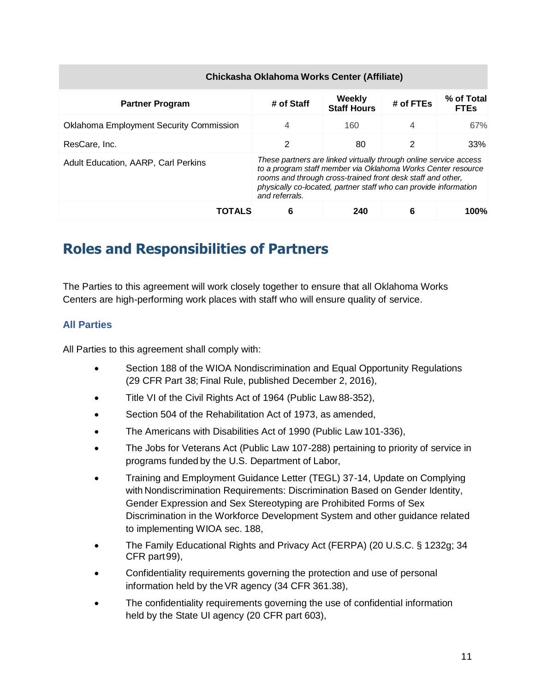| Chickasha Oklahoma Works Center (Affiliate)    |                                                                                                                                                                                                                                                                                        |                              |           |                           |  |  |
|------------------------------------------------|----------------------------------------------------------------------------------------------------------------------------------------------------------------------------------------------------------------------------------------------------------------------------------------|------------------------------|-----------|---------------------------|--|--|
| <b>Partner Program</b>                         | # of Staff                                                                                                                                                                                                                                                                             | Weekly<br><b>Staff Hours</b> | # of FTEs | % of Total<br><b>FTEs</b> |  |  |
| <b>Oklahoma Employment Security Commission</b> | 4                                                                                                                                                                                                                                                                                      | 160                          | 4         | 67%                       |  |  |
| ResCare, Inc.                                  | 2                                                                                                                                                                                                                                                                                      | 80                           | 2         | 33%                       |  |  |
| Adult Education, AARP, Carl Perkins            | These partners are linked virtually through online service access<br>to a program staff member via Oklahoma Works Center resource<br>rooms and through cross-trained front desk staff and other,<br>physically co-located, partner staff who can provide information<br>and referrals. |                              |           |                           |  |  |
| TOTALS                                         | 6                                                                                                                                                                                                                                                                                      | 240                          | 6         | 100%                      |  |  |

# **Roles and Responsibilities of Partners**

<span id="page-14-0"></span>The Parties to this agreement will work closely together to ensure that all Oklahoma Works Centers are high-performing work places with staff who will ensure quality of service.

#### **All Parties**

All Parties to this agreement shall comply with:

- Section 188 of the WIOA Nondiscrimination and Equal Opportunity Regulations (29 CFR Part 38; Final Rule, published December 2, 2016),
- Title VI of the Civil Rights Act of 1964 (Public Law 88-352),
- Section 504 of the Rehabilitation Act of 1973, as amended,
- The Americans with Disabilities Act of 1990 (Public Law 101-336),
- The Jobs for Veterans Act (Public Law 107-288) pertaining to priority of service in programs funded by the U.S. Department of Labor,
- Training and Employment Guidance Letter (TEGL) 37-14, Update on Complying with Nondiscrimination Requirements: Discrimination Based on Gender Identity, Gender Expression and Sex Stereotyping are Prohibited Forms of Sex Discrimination in the Workforce Development System and other guidance related to implementing WIOA sec. 188,
- The Family Educational Rights and Privacy Act (FERPA) (20 U.S.C. § 1232g; 34 CFR part99),
- Confidentiality requirements governing the protection and use of personal information held by theVR agency (34 CFR 361.38),
- The confidentiality requirements governing the use of confidential information held by the State UI agency (20 CFR part 603),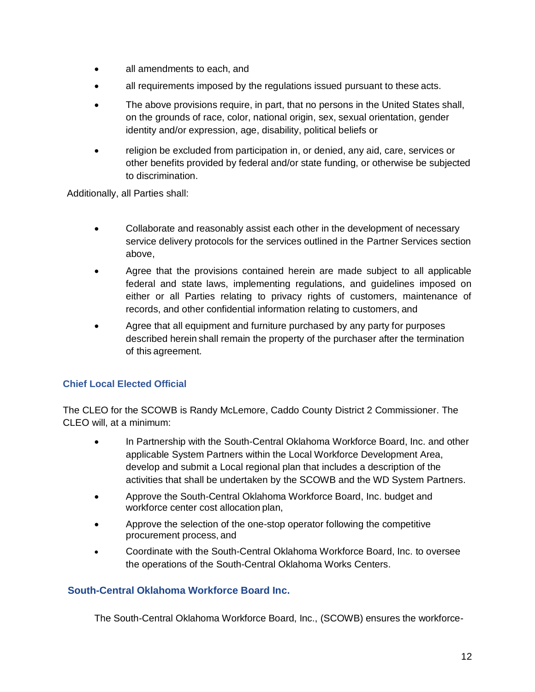- all amendments to each, and
- all requirements imposed by the regulations issued pursuant to these acts.
- The above provisions require, in part, that no persons in the United States shall, on the grounds of race, color, national origin, sex, sexual orientation, gender identity and/or expression, age, disability, political beliefs or
- religion be excluded from participation in, or denied, any aid, care, services or other benefits provided by federal and/or state funding, or otherwise be subjected to discrimination.

Additionally, all Parties shall:

- Collaborate and reasonably assist each other in the development of necessary service delivery protocols for the services outlined in the [Partner Services](#page-8-0) section above,
- Agree that the provisions contained herein are made subject to all applicable federal and state laws, implementing regulations, and guidelines imposed on either or all Parties relating to privacy rights of customers, maintenance of records, and other confidential information relating to customers, and
- Agree that all equipment and furniture purchased by any party for purposes described herein shall remain the property of the purchaser after the termination of this agreement.

#### **Chief Local Elected Official**

The CLEO for the SCOWB is Randy McLemore, Caddo County District 2 Commissioner. The CLEO will, at a minimum:

- In Partnership with the South-Central Oklahoma Workforce Board, Inc. and other applicable System Partners within the Local Workforce Development Area, develop and submit a Local regional plan that includes a description of the activities that shall be undertaken by the SCOWB and the WD System Partners.
- Approve the South-Central Oklahoma Workforce Board, Inc. budget and workforce center cost allocation plan,
- Approve the selection of the one-stop operator following the competitive procurement process, and
- Coordinate with the South-Central Oklahoma Workforce Board, Inc. to oversee the operations of the South-Central Oklahoma Works Centers.

#### **South-Central Oklahoma Workforce Board Inc.**

The South-Central Oklahoma Workforce Board, Inc., (SCOWB) ensures the workforce-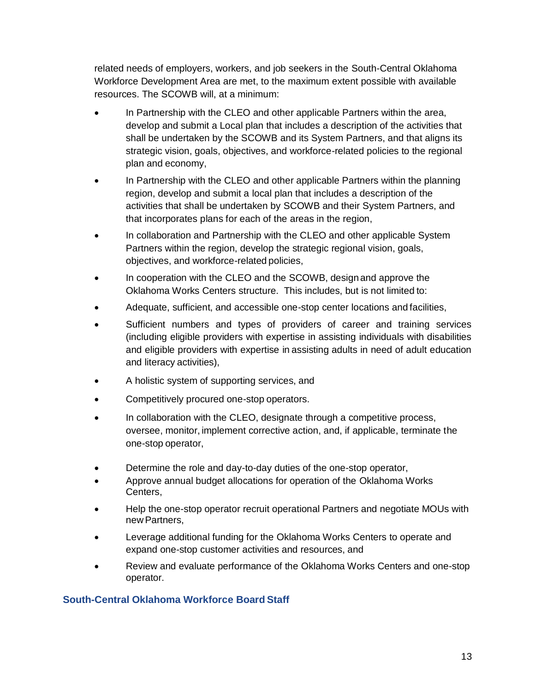related needs of employers, workers, and job seekers in the South-Central Oklahoma Workforce Development Area are met, to the maximum extent possible with available resources. The SCOWB will, at a minimum:

- In Partnership with the CLEO and other applicable Partners within the area, develop and submit a Local plan that includes a description of the activities that shall be undertaken by the SCOWB and its System Partners, and that aligns its strategic vision, goals, objectives, and workforce-related policies to the regional plan and economy,
- In Partnership with the CLEO and other applicable Partners within the planning region, develop and submit a local plan that includes a description of the activities that shall be undertaken by SCOWB and their System Partners, and that incorporates plans for each of the areas in the region,
- In collaboration and Partnership with the CLEO and other applicable System Partners within the region, develop the strategic regional vision, goals, objectives, and workforce-related policies,
- In cooperation with the CLEO and the SCOWB, design and approve the Oklahoma Works Centers structure. This includes, but is not limited to:
- Adequate, sufficient, and accessible one-stop center locations and facilities,
- Sufficient numbers and types of providers of career and training services (including eligible providers with expertise in assisting individuals with disabilities and eligible providers with expertise in assisting adults in need of adult education and literacy activities),
- A holistic system of supporting services, and
- Competitively procured one-stop operators.
- In collaboration with the CLEO, designate through a competitive process, oversee, monitor, implement corrective action, and, if applicable, terminate the one-stop operator,
- Determine the role and day-to-day duties of the one-stop operator,
- Approve annual budget allocations for operation of the Oklahoma Works Centers,
- Help the one-stop operator recruit operational Partners and negotiate MOUs with new Partners,
- Leverage additional funding for the Oklahoma Works Centers to operate and expand one-stop customer activities and resources, and
- Review and evaluate performance of the Oklahoma Works Centers and one-stop operator.

#### **South-Central Oklahoma Workforce Board Staff**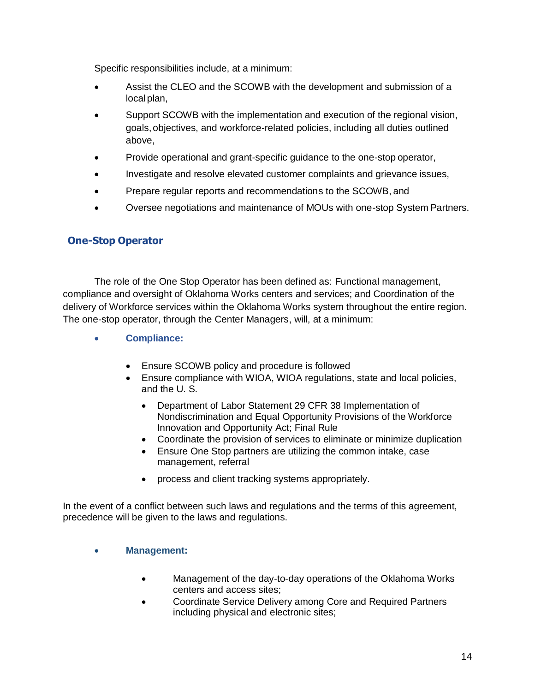Specific responsibilities include, at a minimum:

- Assist the CLEO and the SCOWB with the development and submission of a local plan,
- Support SCOWB with the implementation and execution of the regional vision, goals, objectives, and workforce-related policies, including all duties outlined above,
- Provide operational and grant-specific guidance to the one-stop operator,
- Investigate and resolve elevated customer complaints and grievance issues,
- Prepare regular reports and recommendations to the SCOWB, and
- Oversee negotiations and maintenance of MOUs with one-stop System Partners.

#### <span id="page-17-0"></span>**One-Stop Operator**

The role of the One Stop Operator has been defined as: Functional management, compliance and oversight of Oklahoma Works centers and services; and Coordination of the delivery of Workforce services within the Oklahoma Works system throughout the entire region. The one-stop operator, through the Center Managers, will, at a minimum:

- **Compliance:**
	- Ensure SCOWB policy and procedure is followed
	- Ensure compliance with WIOA, WIOA regulations, state and local policies, and the U. S.
		- Department of Labor Statement 29 CFR 38 Implementation of Nondiscrimination and Equal Opportunity Provisions of the Workforce Innovation and Opportunity Act; Final Rule
		- Coordinate the provision of services to eliminate or minimize duplication
		- Ensure One Stop partners are utilizing the common intake, case management, referral
		- process and client tracking systems appropriately.

In the event of a conflict between such laws and regulations and the terms of this agreement, precedence will be given to the laws and regulations.

#### • **Management:**

- Management of the day-to-day operations of the Oklahoma Works centers and access sites;
- Coordinate Service Delivery among Core and Required Partners including physical and electronic sites;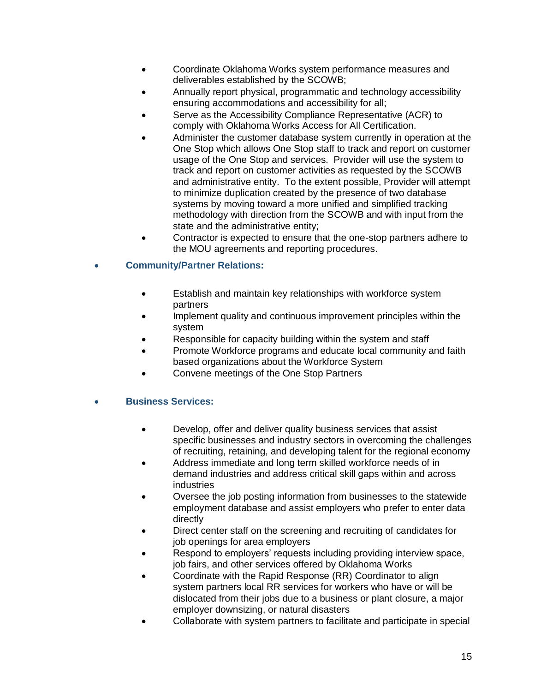- Coordinate Oklahoma Works system performance measures and deliverables established by the SCOWB;
- Annually report physical, programmatic and technology accessibility ensuring accommodations and accessibility for all;
- Serve as the Accessibility Compliance Representative (ACR) to comply with Oklahoma Works Access for All Certification.
- Administer the customer database system currently in operation at the One Stop which allows One Stop staff to track and report on customer usage of the One Stop and services. Provider will use the system to track and report on customer activities as requested by the SCOWB and administrative entity. To the extent possible, Provider will attempt to minimize duplication created by the presence of two database systems by moving toward a more unified and simplified tracking methodology with direction from the SCOWB and with input from the state and the administrative entity;
- Contractor is expected to ensure that the one-stop partners adhere to the MOU agreements and reporting procedures.

#### • **Community/Partner Relations:**

- Establish and maintain key relationships with workforce system partners
- Implement quality and continuous improvement principles within the system
- Responsible for capacity building within the system and staff
- Promote Workforce programs and educate local community and faith based organizations about the Workforce System
- Convene meetings of the One Stop Partners

#### • **Business Services:**

- Develop, offer and deliver quality business services that assist specific businesses and industry sectors in overcoming the challenges of recruiting, retaining, and developing talent for the regional economy
- Address immediate and long term skilled workforce needs of in demand industries and address critical skill gaps within and across industries
- Oversee the job posting information from businesses to the statewide employment database and assist employers who prefer to enter data directly
- Direct center staff on the screening and recruiting of candidates for job openings for area employers
- Respond to employers' requests including providing interview space, job fairs, and other services offered by Oklahoma Works
- Coordinate with the Rapid Response (RR) Coordinator to align system partners local RR services for workers who have or will be dislocated from their jobs due to a business or plant closure, a major employer downsizing, or natural disasters
- Collaborate with system partners to facilitate and participate in special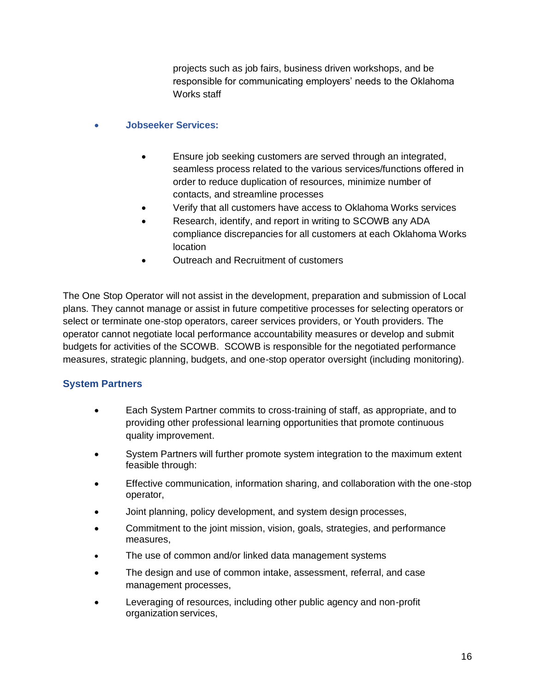projects such as job fairs, business driven workshops, and be responsible for communicating employers' needs to the Oklahoma Works staff

- **Jobseeker Services:**
	- Ensure job seeking customers are served through an integrated, seamless process related to the various services/functions offered in order to reduce duplication of resources, minimize number of contacts, and streamline processes
	- Verify that all customers have access to Oklahoma Works services
	- Research, identify, and report in writing to SCOWB any ADA compliance discrepancies for all customers at each Oklahoma Works location
	- Outreach and Recruitment of customers

The One Stop Operator will not assist in the development, preparation and submission of Local plans. They cannot manage or assist in future competitive processes for selecting operators or select or terminate one-stop operators, career services providers, or Youth providers. The operator cannot negotiate local performance accountability measures or develop and submit budgets for activities of the SCOWB. SCOWB is responsible for the negotiated performance measures, strategic planning, budgets, and one-stop operator oversight (including monitoring).

#### **System Partners**

- Each System Partner commits to cross-training of staff, as appropriate, and to providing other professional learning opportunities that promote continuous quality improvement.
- System Partners will further promote system integration to the maximum extent feasible through:
- Effective communication, information sharing, and collaboration with the one-stop operator,
- Joint planning, policy development, and system design processes,
- Commitment to the joint mission, vision, goals, strategies, and performance measures,
- The use of common and/or linked data management systems
- The design and use of common intake, assessment, referral, and case management processes,
- Leveraging of resources, including other public agency and non-profit organization services,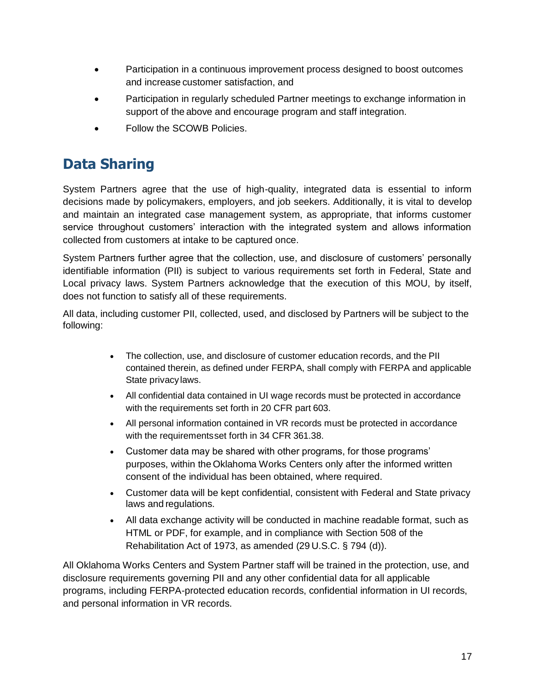- Participation in a continuous improvement process designed to boost outcomes and increase customer satisfaction, and
- Participation in regularly scheduled Partner meetings to exchange information in support of the above and encourage program and staff integration.
- Follow the SCOWB Policies.

### **Data Sharing**

System Partners agree that the use of high-quality, integrated data is essential to inform decisions made by policymakers, employers, and job seekers. Additionally, it is vital to develop and maintain an integrated case management system, as appropriate, that informs customer service throughout customers' interaction with the integrated system and allows information collected from customers at intake to be captured once.

System Partners further agree that the collection, use, and disclosure of customers' personally identifiable information (PII) is subject to various requirements set forth in Federal, State and Local privacy laws. System Partners acknowledge that the execution of this MOU, by itself, does not function to satisfy all of these requirements.

All data, including customer PII, collected, used, and disclosed by Partners will be subject to the following:

- The collection, use, and disclosure of customer education records, and the PII contained therein, as defined under FERPA, shall comply with FERPA and applicable State privacylaws.
- All confidential data contained in UI wage records must be protected in accordance with the requirements set forth in 20 CFR part 603.
- All personal information contained in VR records must be protected in accordance with the requirementsset forth in 34 CFR 361.38.
- Customer data may be shared with other programs, for those programs' purposes, within the Oklahoma Works Centers only after the informed written consent of the individual has been obtained, where required.
- Customer data will be kept confidential, consistent with Federal and State privacy laws and regulations.
- All data exchange activity will be conducted in machine readable format, such as HTML or PDF, for example, and in compliance with Section 508 of the Rehabilitation Act of 1973, as amended (29 U.S.C. § 794 (d)).

All Oklahoma Works Centers and System Partner staff will be trained in the protection, use, and disclosure requirements governing PII and any other confidential data for all applicable programs, including FERPA-protected education records, confidential information in UI records, and personal information in VR records.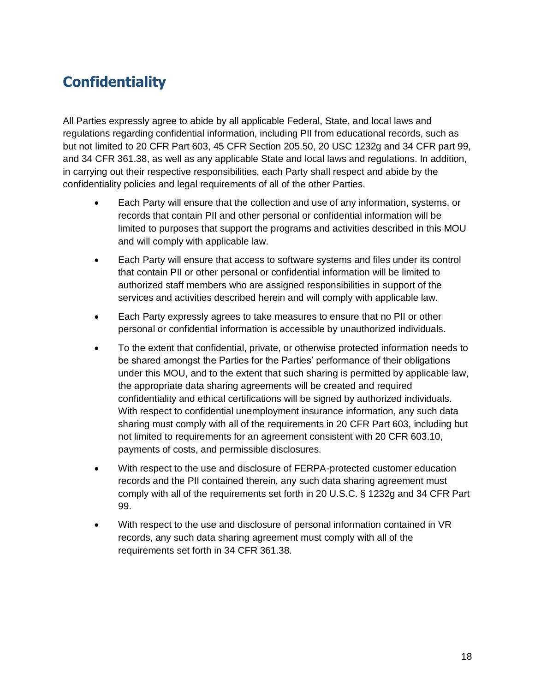# **Confidentiality**

All Parties expressly agree to abide by all applicable Federal, State, and local laws and regulations regarding confidential information, including PII from educational records, such as but not limited to 20 CFR Part 603, 45 CFR Section 205.50, 20 USC 1232g and 34 CFR part 99, and 34 CFR 361.38, as well as any applicable State and local laws and regulations. In addition, in carrying out their respective responsibilities, each Party shall respect and abide by the confidentiality policies and legal requirements of all of the other Parties.

- Each Party will ensure that the collection and use of any information, systems, or records that contain PII and other personal or confidential information will be limited to purposes that support the programs and activities described in this MOU and will comply with applicable law.
- Each Party will ensure that access to software systems and files under its control that contain PII or other personal or confidential information will be limited to authorized staff members who are assigned responsibilities in support of the services and activities described herein and will comply with applicable law.
- Each Party expressly agrees to take measures to ensure that no PII or other personal or confidential information is accessible by unauthorized individuals.
- To the extent that confidential, private, or otherwise protected information needs to be shared amongst the Parties for the Parties' performance of their obligations under this MOU, and to the extent that such sharing is permitted by applicable law, the appropriate data sharing agreements will be created and required confidentiality and ethical certifications will be signed by authorized individuals. With respect to confidential unemployment insurance information, any such data sharing must comply with all of the requirements in 20 CFR Part 603, including but not limited to requirements for an agreement consistent with 20 CFR 603.10, payments of costs, and permissible disclosures.
- With respect to the use and disclosure of FERPA-protected customer education records and the PII contained therein, any such data sharing agreement must comply with all of the requirements set forth in 20 U.S.C. § 1232g and 34 CFR Part 99.
- With respect to the use and disclosure of personal information contained in VR records, any such data sharing agreement must comply with all of the requirements set forth in 34 CFR 361.38.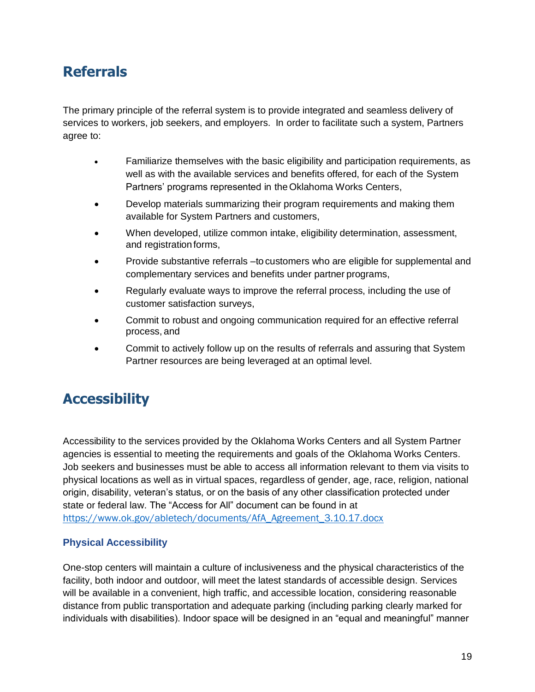### **Referrals**

<span id="page-22-1"></span><span id="page-22-0"></span>The primary principle of the referral system is to provide integrated and seamless delivery of services to workers, job seekers, and employers. In order to facilitate such a system, Partners agree to:

- Familiarize themselves with the basic eligibility and participation requirements, as well as with the available services and benefits offered, for each of the System Partners' programs represented in theOklahoma Works Centers,
- Develop materials summarizing their program requirements and making them available for System Partners and customers,
- When developed, utilize common intake, eligibility determination, assessment, and registration forms,
- Provide substantive referrals –to customers who are eligible for supplemental and complementary services and benefits under partner programs,
- Regularly evaluate ways to improve the referral process, including the use of customer satisfaction surveys,
- Commit to robust and ongoing communication required for an effective referral process, and
- Commit to actively follow up on the results of referrals and assuring that System Partner resources are being leveraged at an optimal level.

# <span id="page-22-2"></span>**Accessibility**

Accessibility to the services provided by the Oklahoma Works Centers and all System Partner agencies is essential to meeting the requirements and goals of the Oklahoma Works Centers. Job seekers and businesses must be able to access all information relevant to them via visits to physical locations as well as in virtual spaces, regardless of gender, age, race, religion, national origin, disability, veteran's status, or on the basis of any other classification protected under state or federal law. The "Access for All" document can be found in at [https://www.ok.gov/abletech/documents/AfA\\_Agreement\\_3.10.17.docx](https://www.ok.gov/abletech/documents/AfA_Agreement_3.10.17.docx)

#### **Physical Accessibility**

One-stop centers will maintain a culture of inclusiveness and the physical characteristics of the facility, both indoor and outdoor, will meet the latest standards of accessible design. Services will be available in a convenient, high traffic, and accessible location, considering reasonable distance from public transportation and adequate parking (including parking clearly marked for individuals with disabilities). Indoor space will be designed in an "equal and meaningful" manner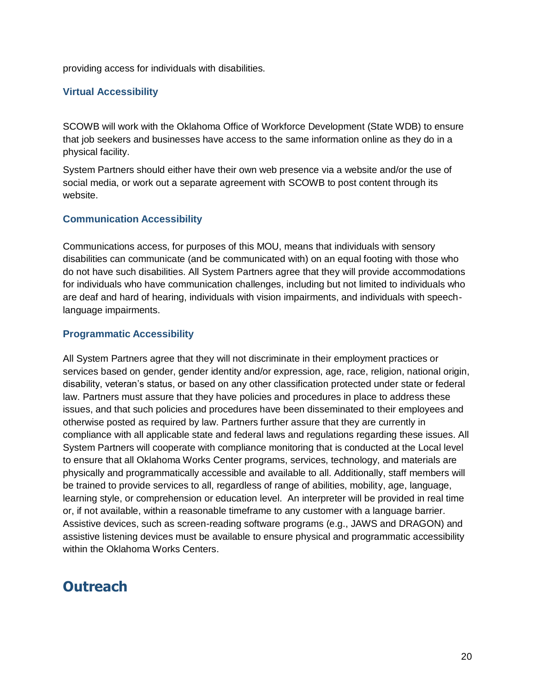providing access for individuals with disabilities.

#### **Virtual Accessibility**

SCOWB will work with the Oklahoma Office of Workforce Development (State WDB) to ensure that job seekers and businesses have access to the same information online as they do in a physical facility.

System Partners should either have their own web presence via a website and/or the use of social media, or work out a separate agreement with SCOWB to post content through its website.

#### **Communication Accessibility**

Communications access, for purposes of this MOU, means that individuals with sensory disabilities can communicate (and be communicated with) on an equal footing with those who do not have such disabilities. All System Partners agree that they will provide accommodations for individuals who have communication challenges, including but not limited to individuals who are deaf and hard of hearing, individuals with vision impairments, and individuals with speechlanguage impairments.

#### **Programmatic Accessibility**

All System Partners agree that they will not discriminate in their employment practices or services based on gender, gender identity and/or expression, age, race, religion, national origin, disability, veteran's status, or based on any other classification protected under state or federal law. Partners must assure that they have policies and procedures in place to address these issues, and that such policies and procedures have been disseminated to their employees and otherwise posted as required by law. Partners further assure that they are currently in compliance with all applicable state and federal laws and regulations regarding these issues. All System Partners will cooperate with compliance monitoring that is conducted at the Local level to ensure that all Oklahoma Works Center programs, services, technology, and materials are physically and programmatically accessible and available to all. Additionally, staff members will be trained to provide services to all, regardless of range of abilities, mobility, age, language, learning style, or comprehension or education level. An interpreter will be provided in real time or, if not available, within a reasonable timeframe to any customer with a language barrier. Assistive devices, such as screen-reading software programs (e.g., JAWS and DRAGON) and assistive listening devices must be available to ensure physical and programmatic accessibility within the Oklahoma Works Centers.

### **Outreach**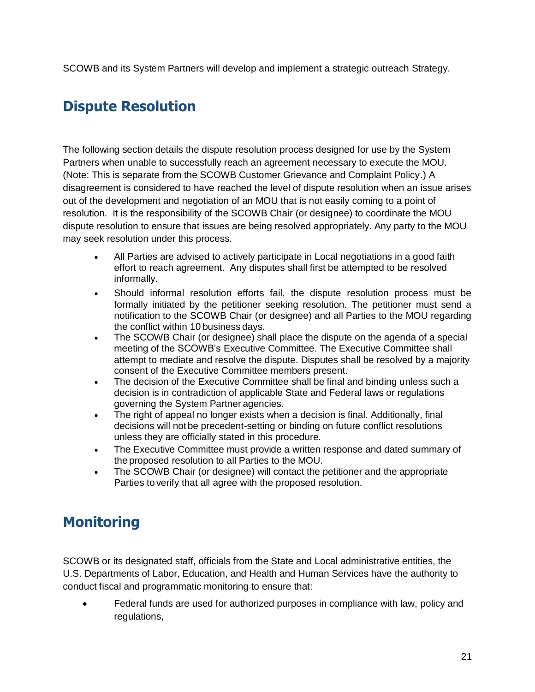SCOWB and its System Partners will develop and implement a strategic outreach Strategy.

# **Dispute Resolution**

The following section details the dispute resolution process designed for use by the System Partners when unable to successfully reach an agreement necessary to execute the MOU. (Note: This is separate from the SCOWB Customer Grievance and Complaint Policy.) A disagreement is considered to have reached the level of dispute resolution when an issue arises out of the development and negotiation of an MOU that is not easily coming to a point of resolution. It is the responsibility of the SCOWB Chair (or designee) to coordinate the MOU dispute resolution to ensure that issues are being resolved appropriately. Any party to the MOU may seek resolution under this process.

- All Parties are advised to actively participate in Local negotiations in a good faith effort to reach agreement. Any disputes shall first be attempted to be resolved informally.
- Should informal resolution efforts fail, the dispute resolution process must be formally initiated by the petitioner seeking resolution. The petitioner must send a notification to the SCOWB Chair (or designee) and all Parties to the MOU regarding the conflict within 10 business days.
- The SCOWB Chair (or designee) shall place the dispute on the agenda of a special meeting of the SCOWB's Executive Committee. The Executive Committee shall attempt to mediate and resolve the dispute. Disputes shall be resolved by a majority consent of the Executive Committee members present.
- The decision of the Executive Committee shall be final and binding unless such a decision is in contradiction of applicable State and Federal laws or regulations governing the System Partner agencies.
- The right of appeal no longer exists when a decision is final. Additionally, final decisions will not be precedent-setting or binding on future conflict resolutions unless they are officially stated in this procedure.
- <span id="page-24-1"></span><span id="page-24-0"></span>• The Executive Committee must provide a written response and dated summary of the proposed resolution to all Parties to the MOU.
- The SCOWB Chair (or designee) will contact the petitioner and the appropriate Parties to verify that all agree with the proposed resolution.

### **Monitoring**

<span id="page-24-2"></span>SCOWB or its designated staff, officials from the State and Local administrative entities, the U.S. Departments of Labor, Education, and Health and Human Services have the authority to conduct fiscal and programmatic monitoring to ensure that:

• Federal funds are used for authorized purposes in compliance with law, policy and regulations,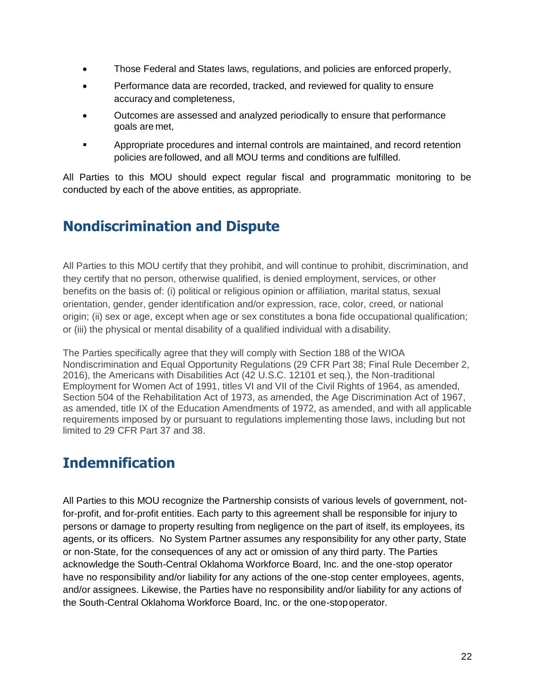- Those Federal and States laws, regulations, and policies are enforced properly,
- Performance data are recorded, tracked, and reviewed for quality to ensure accuracy and completeness,
- Outcomes are assessed and analyzed periodically to ensure that performance goals are met,
- Appropriate procedures and internal controls are maintained, and record retention policies are followed, and all MOU terms and conditions are fulfilled.

All Parties to this MOU should expect regular fiscal and programmatic monitoring to be conducted by each of the above entities, as appropriate.

# **Nondiscrimination and Dispute**

All Parties to this MOU certify that they prohibit, and will continue to prohibit, discrimination, and they certify that no person, otherwise qualified, is denied employment, services, or other benefits on the basis of: (i) political or religious opinion or affiliation, marital status, sexual orientation, gender, gender identification and/or expression, race, color, creed, or national origin; (ii) sex or age, except when age or sex constitutes a bona fide occupational qualification; or (iii) the physical or mental disability of a qualified individual with a disability.

The Parties specifically agree that they will comply with Section 188 of the WIOA Nondiscrimination and Equal Opportunity Regulations (29 CFR Part 38; Final Rule December 2, 2016), the Americans with Disabilities Act (42 U.S.C. 12101 et seq.), the Non-traditional Employment for Women Act of 1991, titles VI and VII of the Civil Rights of 1964, as amended, Section 504 of the Rehabilitation Act of 1973, as amended, the Age Discrimination Act of 1967, as amended, title IX of the Education Amendments of 1972, as amended, and with all applicable requirements imposed by or pursuant to regulations implementing those laws, including but not limited to 29 CFR Part 37 and 38.

### **Indemnification**

All Parties to this MOU recognize the Partnership consists of various levels of government, notfor-profit, and for-profit entities. Each party to this agreement shall be responsible for injury to persons or damage to property resulting from negligence on the part of itself, its employees, its agents, or its officers. No System Partner assumes any responsibility for any other party, State or non-State, for the consequences of any act or omission of any third party. The Parties acknowledge the South-Central Oklahoma Workforce Board, Inc. and the one-stop operator have no responsibility and/or liability for any actions of the one-stop center employees, agents, and/or assignees. Likewise, the Parties have no responsibility and/or liability for any actions of the South-Central Oklahoma Workforce Board, Inc. or the one-stopoperator.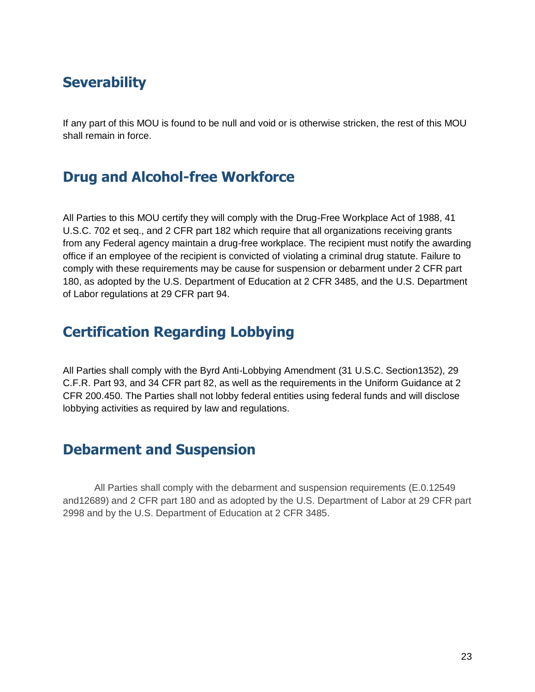### **Severability**

If any part of this MOU is found to be null and void or is otherwise stricken, the rest of this MOU shall remain in force.

### **Drug and Alcohol-free Workforce**

All Parties to this MOU certify they will comply with the Drug-Free Workplace Act of 1988, 41 U.S.C. 702 et seq., and 2 CFR part 182 which require that all organizations receiving grants from any Federal agency maintain a drug-free workplace. The recipient must notify the awarding office if an employee of the recipient is convicted of violating a criminal drug statute. Failure to comply with these requirements may be cause for suspension or debarment under 2 CFR part 180, as adopted by the U.S. Department of Education at 2 CFR 3485, and the U.S. Department of Labor regulations at 29 CFR part 94.

### **Certification Regarding Lobbying**

All Parties shall comply with the Byrd Anti-Lobbying Amendment (31 U.S.C. Section1352), 29 C.F.R. Part 93, and 34 CFR part 82, as well as the requirements in the Uniform Guidance at 2 CFR 200.450. The Parties shall not lobby federal entities using federal funds and will disclose lobbying activities as required by law and regulations.

### **Debarment and Suspension**

All Parties shall comply with the debarment and suspension requirements (E.0.12549 and12689) and 2 CFR part 180 and as adopted by the U.S. Department of Labor at 29 CFR part 2998 and by the U.S. Department of Education at 2 CFR 3485.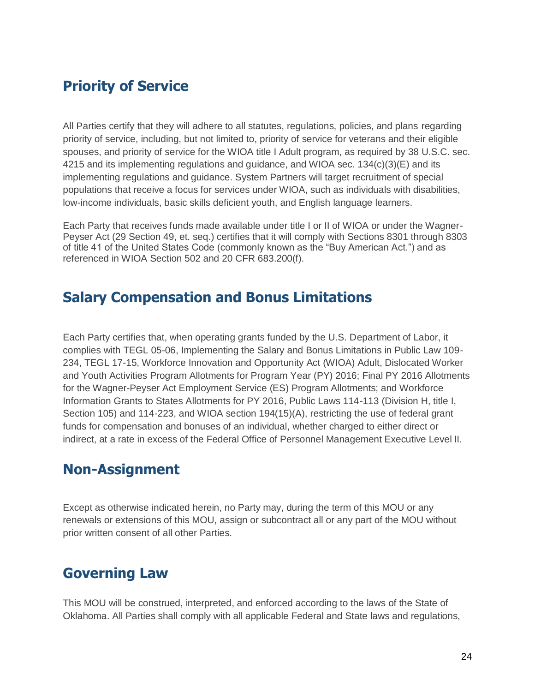### **Priority of Service**

All Parties certify that they will adhere to all statutes, regulations, policies, and plans regarding priority of service, including, but not limited to, priority of service for veterans and their eligible spouses, and priority of service for the WIOA title I Adult program, as required by 38 U.S.C. sec. 4215 and its implementing regulations and guidance, and WIOA sec.  $134(c)(3)(E)$  and its implementing regulations and guidance. System Partners will target recruitment of special populations that receive a focus for services under WIOA, such as individuals with disabilities, low-income individuals, basic skills deficient youth, and English language learners.

Each Party that receives funds made available under title I or II of WIOA or under the Wagner-Peyser Act (29 Section 49, et. seq.) certifies that it will comply with Sections 8301 through 8303 of title 41 of the United States Code (commonly known as the "Buy American Act.") and as referenced in WIOA Section 502 and 20 CFR 683.200(f).

### **Salary Compensation and Bonus Limitations**

Each Party certifies that, when operating grants funded by the U.S. Department of Labor, it complies with TEGL 05-06, Implementing the Salary and Bonus Limitations in Public Law 109- 234, TEGL 17-15, Workforce Innovation and Opportunity Act (WIOA) Adult, Dislocated Worker and Youth Activities Program Allotments for Program Year (PY) 2016; Final PY 2016 Allotments for the Wagner-Peyser Act Employment Service (ES) Program Allotments; and Workforce Information Grants to States Allotments for PY 2016, Public Laws 114-113 (Division H, title I, Section 105) and 114-223, and WIOA section 194(15)(A), restricting the use of federal grant funds for compensation and bonuses of an individual, whether charged to either direct or indirect, at a rate in excess of the Federal Office of Personnel Management Executive Level II.

### **Non-Assignment**

Except as otherwise indicated herein, no Party may, during the term of this MOU or any renewals or extensions of this MOU, assign or subcontract all or any part of the MOU without prior written consent of all other Parties.

### **Governing Law**

This MOU will be construed, interpreted, and enforced according to the laws of the State of Oklahoma. All Parties shall comply with all applicable Federal and State laws and regulations,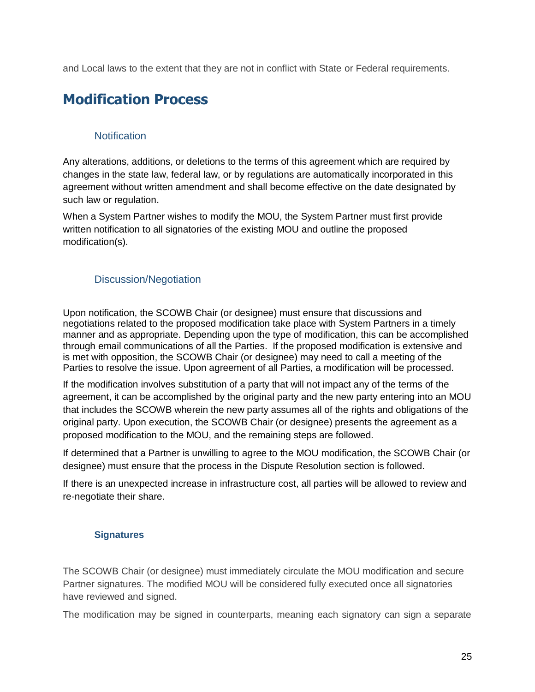<span id="page-28-0"></span>and Local laws to the extent that they are not in conflict with State or Federal requirements.

### **Modification Process**

#### **Notification**

<span id="page-28-2"></span><span id="page-28-1"></span>Any alterations, additions, or deletions to the terms of this agreement which are required by changes in the state law, federal law, or by regulations are automatically incorporated in this agreement without written amendment and shall become effective on the date designated by such law or regulation.

When a System Partner wishes to modify the MOU, the System Partner must first provide written notification to all signatories of the existing MOU and outline the proposed modification(s).

#### Discussion/Negotiation

Upon notification, the SCOWB Chair (or designee) must ensure that discussions and negotiations related to the proposed modification take place with System Partners in a timely manner and as appropriate. Depending upon the type of modification, this can be accomplished through email communications of all the Parties. If the proposed modification is extensive and is met with opposition, the SCOWB Chair (or designee) may need to call a meeting of the Parties to resolve the issue. Upon agreement of all Parties, a modification will be processed.

If the modification involves substitution of a party that will not impact any of the terms of the agreement, it can be accomplished by the original party and the new party entering into an MOU that includes the SCOWB wherein the new party assumes all of the rights and obligations of the original party. Upon execution, the SCOWB Chair (or designee) presents the agreement as a proposed modification to the MOU, and the remaining steps are followed.

If determined that a Partner is unwilling to agree to the MOU modification, the SCOWB Chair (or designee) must ensure that the process in the [Dispute Resolution s](#page-24-1)ection is followed.

If there is an unexpected increase in infrastructure cost, all parties will be allowed to review and re-negotiate their share.

#### **Signatures**

The SCOWB Chair (or designee) must immediately circulate the MOU modification and secure Partner signatures. The modified MOU will be considered fully executed once all signatories have reviewed and signed.

The modification may be signed in counterparts, meaning each signatory can sign a separate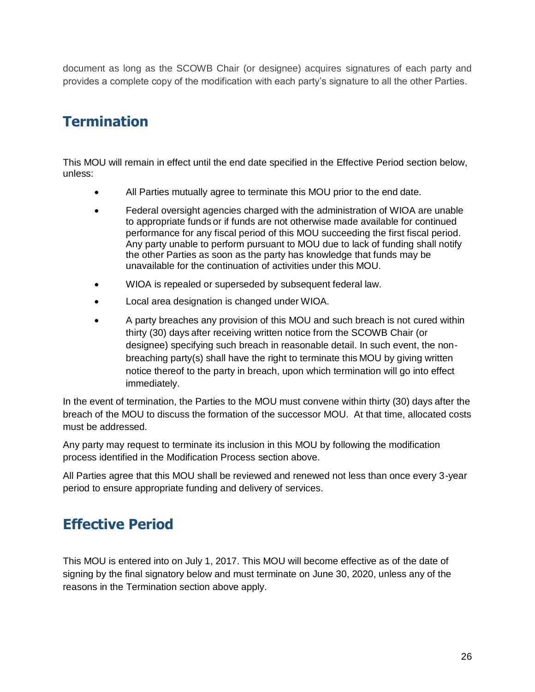document as long as the SCOWB Chair (or designee) acquires signatures of each party and provides a complete copy of the modification with each party's signature to all the other Parties.

# **Termination**

This MOU will remain in effect until the end date specified in the [Effective Period s](#page-29-1)ection below, unless:

- All Parties mutually agree to terminate this MOU prior to the end date.
- Federal oversight agencies charged with the administration of WIOA are unable to appropriate funds or if funds are not otherwise made available for continued performance for any fiscal period of this MOU succeeding the first fiscal period. Any party unable to perform pursuant to MOU due to lack of funding shall notify the other Parties as soon as the party has knowledge that funds may be unavailable for the continuation of activities under this MOU.
- WIOA is repealed or superseded by subsequent federal law.
- Local area designation is changed under WIOA.
- A party breaches any provision of this MOU and such breach is not cured within thirty (30) days after receiving written notice from the SCOWB Chair (or designee) specifying such breach in reasonable detail. In such event, the nonbreaching party(s) shall have the right to terminate this MOU by giving written notice thereof to the party in breach, upon which termination will go into effect immediately.

<span id="page-29-0"></span>In the event of termination, the Parties to the MOU must convene within thirty (30) day[s](#page-29-0) after the breach of the MOU to discuss the formation of the successor MOU. At that time, allocated costs must be addressed.

Any party may request to terminate its inclusion in this MOU by following the modification process identified in the [Modification Process s](#page-29-0)ection above.

All Parties agree that this MOU shall be reviewed and renewed not less than once every 3-year period to ensure appropriate funding and delivery of services.

### **Effective Period**

<span id="page-29-1"></span>This MOU is entered into on July 1, 2017. This MOU will become effective as of the date of signing by the final signatory below and must terminate on June 30, 2020, unless any of the reasons in the [Termination](#page-29-0) section above apply.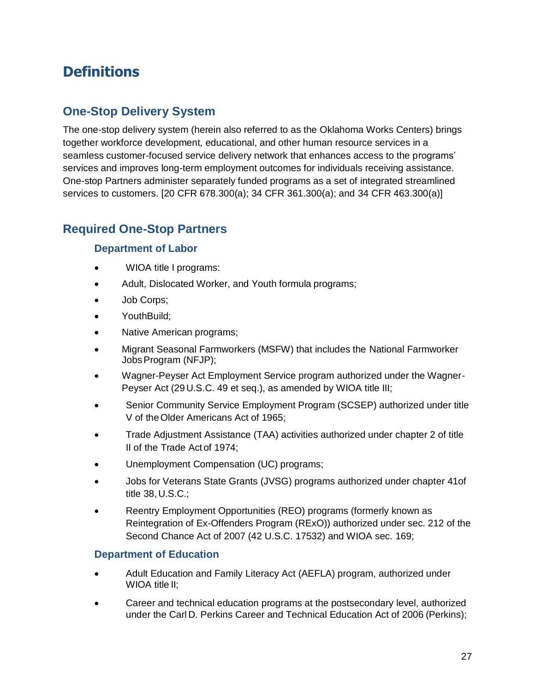### **Definitions**

#### <span id="page-30-0"></span>**One-Stop Delivery System**

The one-stop delivery system (herein also referred to as the Oklahoma Works Centers) brings together workforce development, educational, and other human resource services in a seamless customer-focused service delivery network that enhances access to the programs' services and improves long-term employment outcomes for individuals receiving assistance. One-stop Partners administer separately funded programs as a set of integrated streamlined services to customers. [20 CFR 678.300(a); 34 CFR 361.300(a); and 34 CFR 463.300(a)]

#### **Required One-Stop Partners**

#### **Department of Labor**

- WIOA title I programs:
- Adult, Dislocated Worker, and Youth formula programs;
- Job Corps;
- YouthBuild;
- Native American programs;
- Migrant Seasonal Farmworkers (MSFW) that includes the National Farmworker JobsProgram (NFJP);
- Wagner-Peyser Act Employment Service program authorized under the Wagner-Peyser Act (29 U.S.C. 49 et seq.), as amended by WIOA title III;
- Senior Community Service Employment Program (SCSEP) authorized under title V of theOlder Americans Act of 1965;
- Trade Adjustment Assistance (TAA) activities authorized under chapter 2 of title II of the Trade Act of 1974;
- Unemployment Compensation (UC) programs;
- Jobs for Veterans State Grants (JVSG) programs authorized under chapter 41of title 38,U.S.C.;
- Reentry Employment Opportunities (REO) programs (formerly known as Reintegration of Ex-Offenders Program (RExO)) authorized under sec. 212 of the Second Chance Act of 2007 (42 U.S.C. 17532) and WIOA sec. 169;

#### **Department of Education**

- Adult Education and Family Literacy Act (AEFLA) program, authorized under WIOA title II;
- Career and technical education programs at the postsecondary level, authorized under the Carl D. Perkins Career and Technical Education Act of 2006 (Perkins);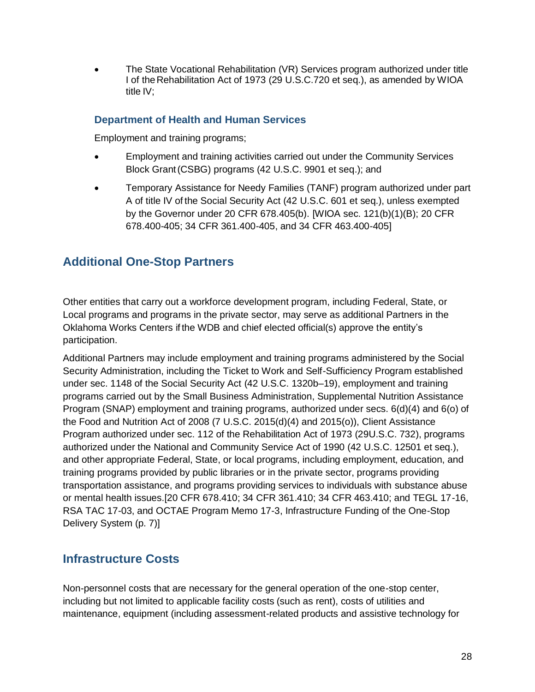• The State Vocational Rehabilitation (VR) Services program authorized under title I of the Rehabilitation Act of 1973 (29 U.S.C.720 et seq.), as amended by WIOA title IV;

#### **Department of Health and Human Services**

Employment and training programs;

- Employment and training activities carried out under the Community Services Block Grant(CSBG) programs (42 U.S.C. 9901 et seq.); and
- Temporary Assistance for Needy Families (TANF) program authorized under part A of title IV of the Social Security Act (42 U.S.C. 601 et seq.), unless exempted by the Governor under 20 CFR 678.405(b). [WIOA sec. 121(b)(1)(B); 20 CFR 678.400-405; 34 CFR 361.400-405, and 34 CFR 463.400-405]

#### **Additional One-Stop Partners**

Other entities that carry out a workforce development program, including Federal, State, or Local programs and programs in the private sector, may serve as additional Partners in the Oklahoma Works Centers if the WDB and chief elected official(s) approve the entity's participation.

Additional Partners may include employment and training programs administered by the Social Security Administration, including the Ticket to Work and Self-Sufficiency Program established under sec. 1148 of the Social Security Act (42 U.S.C. 1320b–19), employment and training programs carried out by the Small Business Administration, Supplemental Nutrition Assistance Program (SNAP) employment and training programs, authorized under secs. 6(d)(4) and 6(o) of the Food and Nutrition Act of 2008 (7 U.S.C. 2015(d)(4) and 2015(o)), Client Assistance Program authorized under sec. 112 of the Rehabilitation Act of 1973 (29U.S.C. 732), programs authorized under the National and Community Service Act of 1990 (42 U.S.C. 12501 et seq.), and other appropriate Federal, State, or local programs, including employment, education, and training programs provided by public libraries or in the private sector, programs providing transportation assistance, and programs providing services to individuals with substance abuse or mental health issues.[20 CFR 678.410; 34 CFR 361.410; 34 CFR 463.410; and TEGL 17-16, RSA TAC 17-03, and OCTAE Program Memo 17-3, Infrastructure Funding of the One-Stop Delivery System (p. 7)]

#### **Infrastructure Costs**

Non-personnel costs that are necessary for the general operation of the one-stop center, including but not limited to applicable facility costs (such as rent), costs of utilities and maintenance, equipment (including assessment-related products and assistive technology for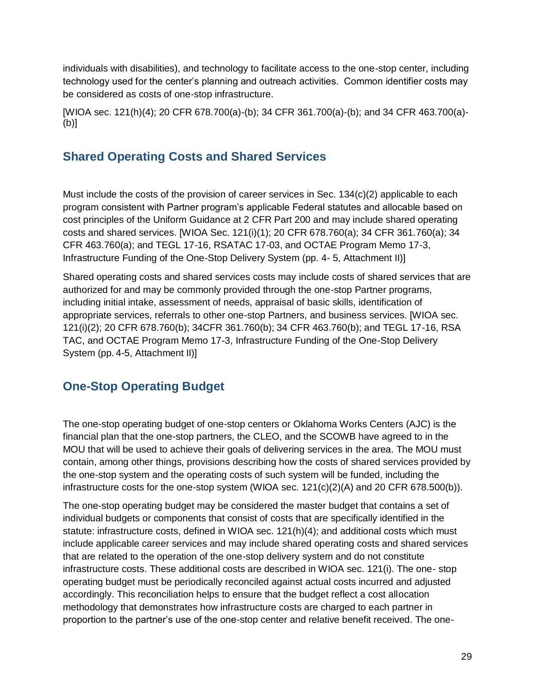individuals with disabilities), and technology to facilitate access to the one-stop center, including technology used for the center's planning and outreach activities. Common identifier costs may be considered as costs of one-stop infrastructure.

[WIOA sec. 121(h)(4); 20 CFR 678.700(a)-(b); 34 CFR 361.700(a)-(b); and 34 CFR 463.700(a)- (b)]

#### **Shared Operating Costs and Shared Services**

Must include the costs of the provision of career services in Sec. 134(c)(2) applicable to each program consistent with Partner program's applicable Federal statutes and allocable based on cost principles of the Uniform Guidance at 2 CFR Part 200 and may include shared operating costs and shared services. [WIOA Sec. 121(i)(1); 20 CFR 678.760(a); 34 CFR 361.760(a); 34 CFR 463.760(a); and TEGL 17-16, RSATAC 17-03, and OCTAE Program Memo 17-3, Infrastructure Funding of the One-Stop Delivery System (pp. 4- 5, Attachment II)]

Shared operating costs and shared services costs may include costs of shared services that are authorized for and may be commonly provided through the one-stop Partner programs, including initial intake, assessment of needs, appraisal of basic skills, identification of appropriate services, referrals to other one-stop Partners, and business services. [WIOA sec. 121(i)(2); 20 CFR 678.760(b); 34CFR 361.760(b); 34 CFR 463.760(b); and TEGL 17-16, RSA TAC, and OCTAE Program Memo 17-3, Infrastructure Funding of the One-Stop Delivery System (pp. 4-5, Attachment II)]

#### **One-Stop Operating Budget**

The one-stop operating budget of one-stop centers or Oklahoma Works Centers (AJC) is the financial plan that the one-stop partners, the CLEO, and the SCOWB have agreed to in the MOU that will be used to achieve their goals of delivering services in the area. The MOU must contain, among other things, provisions describing how the costs of shared services provided by the one-stop system and the operating costs of such system will be funded, including the infrastructure costs for the one-stop system (WIOA sec. 121(c)(2)(A) and 20 CFR 678.500(b)).

The one-stop operating budget may be considered the master budget that contains a set of individual budgets or components that consist of costs that are specifically identified in the statute: infrastructure costs, defined in WIOA sec. 121(h)(4); and additional costs which must include applicable career services and may include shared operating costs and shared services that are related to the operation of the one-stop delivery system and do not constitute infrastructure costs. These additional costs are described in WIOA sec. 121(i). The one- stop operating budget must be periodically reconciled against actual costs incurred and adjusted accordingly. This reconciliation helps to ensure that the budget reflect a cost allocation methodology that demonstrates how infrastructure costs are charged to each partner in proportion to the partner's use of the one-stop center and relative benefit received. The one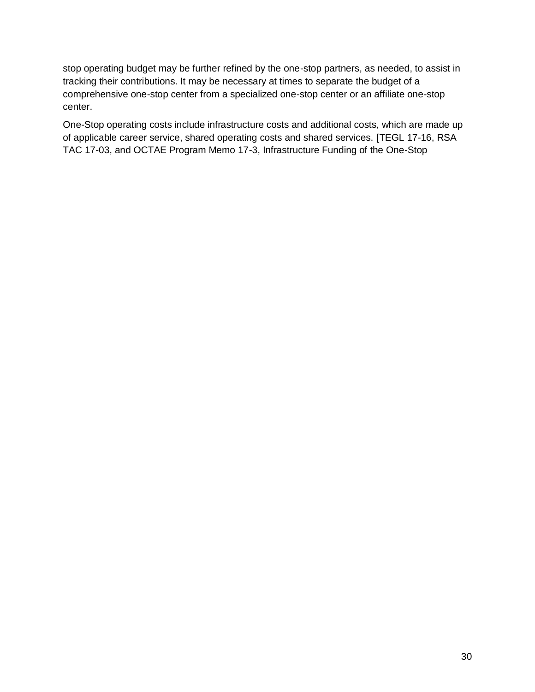stop operating budget may be further refined by the one-stop partners, as needed, to assist in tracking their contributions. It may be necessary at times to separate the budget of a comprehensive one-stop center from a specialized one-stop center or an affiliate one-stop center.

One-Stop operating costs include infrastructure costs and additional costs, which are made up of applicable career service, shared operating costs and shared services. [TEGL 17-16, RSA TAC 17-03, and OCTAE Program Memo 17-3, Infrastructure Funding of the One-Stop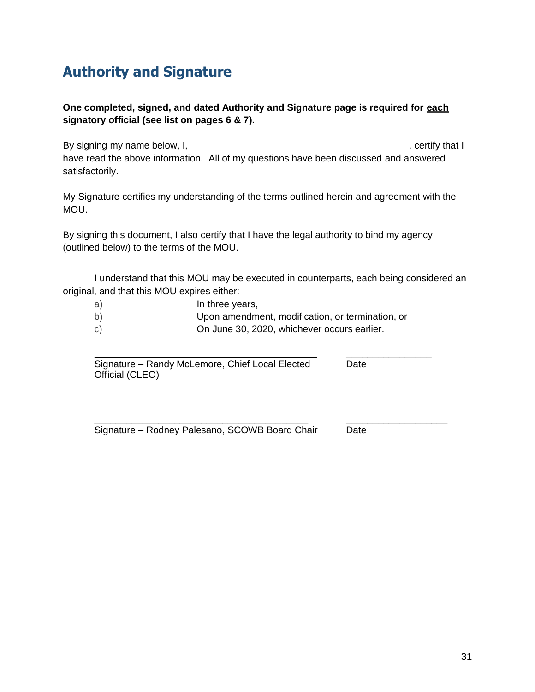### **Authority and Signature**

#### **One completed, signed, and dated Authority and Signature page is required for each signatory official (see list on pages 6 & 7).**

By signing my name below, I,  $\overline{a}$  ,  $\overline{b}$  ,  $\overline{c}$  ,  $\overline{c}$  ,  $\overline{c}$  ,  $\overline{c}$  ,  $\overline{c}$  ,  $\overline{c}$  ,  $\overline{c}$  ,  $\overline{c}$  ,  $\overline{c}$  ,  $\overline{c}$  ,  $\overline{c}$  ,  $\overline{c}$  ,  $\overline{c}$  ,  $\overline{c}$  ,  $\overline{c}$  ,  $\overline{c$ have read the above information. All of my questions have been discussed and answered satisfactorily.

My Signature certifies my understanding of the terms outlined herein and agreement with the MOU.

By signing this document, I also certify that I have the legal authority to bind my agency (outlined below) to the terms of the MOU.

I understand that this MOU may be executed in counterparts, each being considered an original, and that this MOU expires either:

- a) In three years,
- b) Upon amendment, modification, or termination, or
- c) On June 30, 2020, whichever occurs earlier.

\_\_\_\_\_\_\_\_\_\_\_\_\_\_\_\_\_\_\_\_\_\_\_\_\_\_\_\_\_\_\_\_\_\_\_ \_\_\_\_\_\_\_\_\_\_\_\_\_\_\_\_ Signature – Randy McLemore, Chief Local Elected Date Official (CLEO)

\_\_\_\_\_\_\_\_\_\_\_\_\_\_\_\_\_\_\_\_\_\_\_\_\_\_\_\_\_\_\_\_\_\_\_\_\_\_\_\_ \_\_\_\_\_\_\_\_\_\_\_\_\_\_\_\_\_\_\_ Signature – Rodney Palesano, SCOWB Board Chair Date